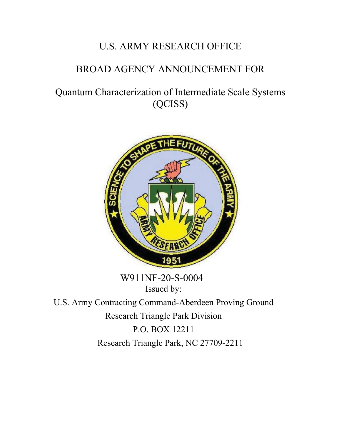# U.S. ARMY RESEARCH OFFICE

# BROAD AGENCY ANNOUNCEMENT FOR

Quantum Characterization of Intermediate Scale Systems (QCISS)



 W911NF-20-S-0004 Issued by:

U.S. Army Contracting Command-Aberdeen Proving Ground Research Triangle Park Division P.O. BOX 12211 Research Triangle Park, NC 27709-2211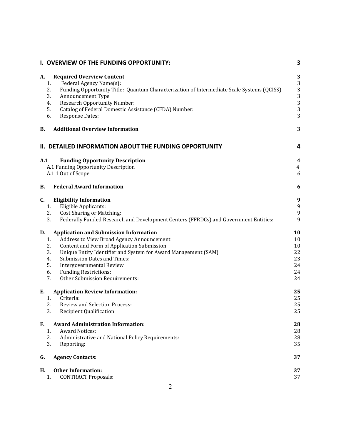|           | I. OVERVIEW OF THE FUNDING OPPORTUNITY:                                                             | 3                                              |
|-----------|-----------------------------------------------------------------------------------------------------|------------------------------------------------|
| А.        | <b>Required Overview Content</b>                                                                    | 3                                              |
| 1.        | Federal Agency Name(s):                                                                             | 3                                              |
| 2.        | Funding Opportunity Title: Quantum Characterization of Intermediate Scale Systems (QCISS)           | 3                                              |
| 3.        | Announcement Type                                                                                   | 3                                              |
| 4.        | <b>Research Opportunity Number:</b>                                                                 | 3                                              |
| 5.        | Catalog of Federal Domestic Assistance (CFDA) Number:                                               | 3                                              |
| 6.        | <b>Response Dates:</b>                                                                              | 3                                              |
| В.        | <b>Additional Overview Information</b>                                                              | 3                                              |
|           | II. DETAILED INFORMATION ABOUT THE FUNDING OPPORTUNITY                                              | 4                                              |
| A.1       | <b>Funding Opportunity Description</b><br>A.1 Funding Opportunity Description<br>A.1.1 Out of Scope | $\overline{\mathbf{4}}$<br>$\overline{4}$<br>6 |
| <b>B.</b> | <b>Federal Award Information</b>                                                                    | 6                                              |
| C.        | <b>Eligibility Information</b>                                                                      | 9                                              |
| 1.        | Eligible Applicants:                                                                                | 9                                              |
| 2.        | <b>Cost Sharing or Matching:</b>                                                                    | 9                                              |
| 3.        | Federally Funded Research and Development Centers (FFRDCs) and Government Entities:                 | 9                                              |
| D.        | <b>Application and Submission Information</b>                                                       | 10                                             |
| 1.        | Address to View Broad Agency Announcement                                                           | 10                                             |
| 2.        | Content and Form of Application Submission                                                          | 10                                             |
| 3.        | Unique Entity Identifier and System for Award Management (SAM)                                      | 22                                             |
| 4.        | <b>Submission Dates and Times:</b>                                                                  | 23                                             |
| 5.        | Intergovernmental Review                                                                            | 24                                             |
| 6.        | <b>Funding Restrictions:</b>                                                                        | 24                                             |
| 7.        | Other Submission Requirements:                                                                      | 24                                             |
| E.        | <b>Application Review Information:</b>                                                              | 25                                             |
| 1.        | Criteria:                                                                                           | 25                                             |
| 2.        | <b>Review and Selection Process:</b>                                                                | 25                                             |
| 3.        | <b>Recipient Qualification</b>                                                                      | 25                                             |
| F.        | <b>Award Administration Information:</b>                                                            | 28                                             |
| 1.        | <b>Award Notices:</b>                                                                               | 28                                             |
| 2.        | Administrative and National Policy Requirements:                                                    | 28                                             |
| 3.        | Reporting:                                                                                          | 35                                             |
| G.        | <b>Agency Contacts:</b>                                                                             | 37                                             |
| Н.        | <b>Other Information:</b>                                                                           | 37                                             |
| 1.        | <b>CONTRACT Proposals:</b>                                                                          | 37                                             |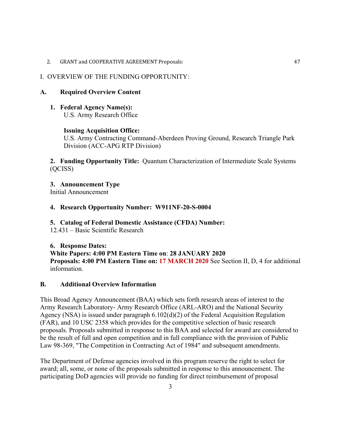2. GRANT and COOPERATIVE [AGREEMENT Proposals:](#page-46-0) 47

#### <span id="page-2-0"></span>I. OVERVIEW OF THE FUNDING OPPORTUNITY:

#### <span id="page-2-1"></span>**A. Required Overview Content**

<span id="page-2-2"></span>**1. Federal Agency Name(s):**  U.S. Army Research Office

#### **Issuing Acquisition Office:**

U.S. Army Contracting Command-Aberdeen Proving Ground, Research Triangle Park Division (ACC-APG RTP Division)

<span id="page-2-3"></span>**2. Funding Opportunity Title:** Quantum Characterization of Intermediate Scale Systems (QCISS)

<span id="page-2-4"></span>**3. Announcement Type**  Initial Announcement

# <span id="page-2-5"></span>**4. Research Opportunity Number: W911NF-20-S-0004**

#### <span id="page-2-6"></span>**5. Catalog of Federal Domestic Assistance (CFDA) Number:**

12.431 – Basic Scientific Research

#### <span id="page-2-7"></span>**6. Response Dates:**

**White Papers: 4:00 PM Eastern Time on**: **28 JANUARY 2020 Proposals: 4:00 PM Eastern Time on: 17 MARCH 2020** See Section II, D, 4 for additional information.

## <span id="page-2-8"></span>**B. Additional Overview Information**

This Broad Agency Announcement (BAA) which sets forth research areas of interest to the Army Research Laboratory- Army Research Office (ARL-ARO) and the National Security Agency (NSA) is issued under paragraph 6.102(d)(2) of the Federal Acquisition Regulation (FAR), and 10 USC 2358 which provides for the competitive selection of basic research proposals. Proposals submitted in response to this BAA and selected for award are considered to be the result of full and open competition and in full compliance with the provision of Public Law 98-369, "The Competition in Contracting Act of 1984" and subsequent amendments.

The Department of Defense agencies involved in this program reserve the right to select for award; all, some, or none of the proposals submitted in response to this announcement. The participating DoD agencies will provide no funding for direct reimbursement of proposal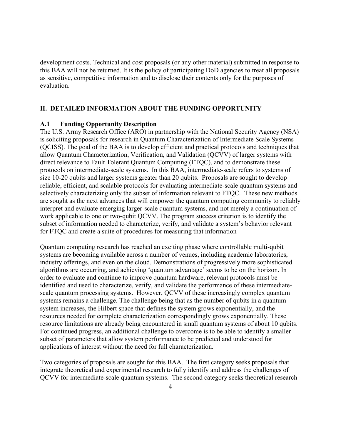development costs. Technical and cost proposals (or any other material) submitted in response to this BAA will not be returned. It is the policy of participating DoD agencies to treat all proposals as sensitive, competitive information and to disclose their contents only for the purposes of evaluation.

# <span id="page-3-0"></span>**II. DETAILED INFORMATION ABOUT THE FUNDING OPPORTUNITY**

#### <span id="page-3-1"></span>**A.1 Funding Opportunity Description**

The U.S. Army Research Office (ARO) in partnership with the National Security Agency (NSA) is soliciting proposals for research in Quantum Characterization of Intermediate Scale Systems (QCISS). The goal of the BAA is to develop efficient and practical protocols and techniques that allow Quantum Characterization, Verification, and Validation (QCVV) of larger systems with direct relevance to Fault Tolerant Quantum Computing (FTQC), and to demonstrate these protocols on intermediate-scale systems. In this BAA, intermediate-scale refers to systems of size 10-20 qubits and larger systems greater than 20 qubits. Proposals are sought to develop reliable, efficient, and scalable protocols for evaluating intermediate-scale quantum systems and selectively characterizing only the subset of information relevant to FTQC. These new methods are sought as the next advances that will empower the quantum computing community to reliably interpret and evaluate emerging larger-scale quantum systems, and not merely a continuation of work applicable to one or two-qubit QCVV. The program success criterion is to identify the subset of information needed to characterize, verify, and validate a system's behavior relevant for FTQC and create a suite of procedures for measuring that information

Quantum computing research has reached an exciting phase where controllable multi-qubit systems are becoming available across a number of venues, including academic laboratories, industry offerings, and even on the cloud. Demonstrations of progressively more sophisticated algorithms are occurring, and achieving 'quantum advantage' seems to be on the horizon. In order to evaluate and continue to improve quantum hardware, relevant protocols must be identified and used to characterize, verify, and validate the performance of these intermediatescale quantum processing systems. However, QCVV of these increasingly complex quantum systems remains a challenge. The challenge being that as the number of qubits in a quantum system increases, the Hilbert space that defines the system grows exponentially, and the resources needed for complete characterization correspondingly grows exponentially. These resource limitations are already being encountered in small quantum systems of about 10 qubits. For continued progress, an additional challenge to overcome is to be able to identify a smaller subset of parameters that allow system performance to be predicted and understood for applications of interest without the need for full characterization.

Two categories of proposals are sought for this BAA. The first category seeks proposals that integrate theoretical and experimental research to fully identify and address the challenges of QCVV for intermediate-scale quantum systems. The second category seeks theoretical research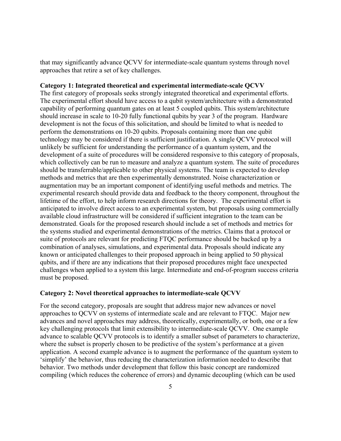that may significantly advance QCVV for intermediate-scale quantum systems through novel approaches that retire a set of key challenges.

#### **Category 1: Integrated theoretical and experimental intermediate-scale QCVV**

The first category of proposals seeks strongly integrated theoretical and experimental efforts. The experimental effort should have access to a qubit system/architecture with a demonstrated capability of performing quantum gates on at least 5 coupled qubits. This system/architecture should increase in scale to 10-20 fully functional qubits by year 3 of the program. Hardware development is not the focus of this solicitation, and should be limited to what is needed to perform the demonstrations on 10-20 qubits. Proposals containing more than one qubit technology may be considered if there is sufficient justification. A single QCVV protocol will unlikely be sufficient for understanding the performance of a quantum system, and the development of a suite of procedures will be considered responsive to this category of proposals, which collectively can be run to measure and analyze a quantum system. The suite of procedures should be transferrable/applicable to other physical systems. The team is expected to develop methods and metrics that are then experimentally demonstrated. Noise characterization or augmentation may be an important component of identifying useful methods and metrics. The experimental research should provide data and feedback to the theory component, throughout the lifetime of the effort, to help inform research directions for theory. The experimental effort is anticipated to involve direct access to an experimental system, but proposals using commercially available cloud infrastructure will be considered if sufficient integration to the team can be demonstrated. Goals for the proposed research should include a set of methods and metrics for the systems studied and experimental demonstrations of the metrics. Claims that a protocol or suite of protocols are relevant for predicting FTQC performance should be backed up by a combination of analyses, simulations, and experimental data. Proposals should indicate any known or anticipated challenges to their proposed approach in being applied to 50 physical qubits, and if there are any indications that their proposed procedures might face unexpected challenges when applied to a system this large. Intermediate and end-of-program success criteria must be proposed.

#### **Category 2: Novel theoretical approaches to intermediate-scale QCVV**

For the second category, proposals are sought that address major new advances or novel approaches to QCVV on systems of intermediate scale and are relevant to FTQC. Major new advances and novel approaches may address, theoretically, experimentally, or both, one or a few key challenging protocols that limit extensibility to intermediate-scale QCVV. One example advance to scalable QCVV protocols is to identify a smaller subset of parameters to characterize, where the subset is properly chosen to be predictive of the system's performance at a given application. A second example advance is to augment the performance of the quantum system to 'simplify' the behavior, thus reducing the characterization information needed to describe that behavior. Two methods under development that follow this basic concept are randomized compiling (which reduces the coherence of errors) and dynamic decoupling (which can be used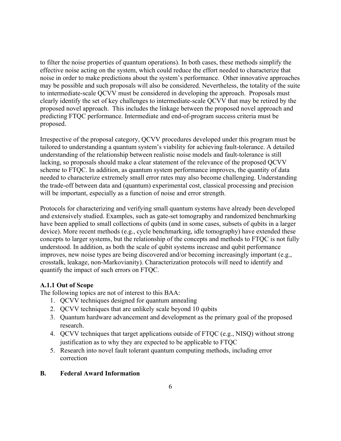to filter the noise properties of quantum operations). In both cases, these methods simplify the effective noise acting on the system, which could reduce the effort needed to characterize that noise in order to make predictions about the system's performance. Other innovative approaches may be possible and such proposals will also be considered. Nevertheless, the totality of the suite to intermediate-scale QCVV must be considered in developing the approach. Proposals must clearly identify the set of key challenges to intermediate-scale QCVV that may be retired by the proposed novel approach. This includes the linkage between the proposed novel approach and predicting FTQC performance. Intermediate and end-of-program success criteria must be proposed.

Irrespective of the proposal category, QCVV procedures developed under this program must be tailored to understanding a quantum system's viability for achieving fault-tolerance. A detailed understanding of the relationship between realistic noise models and fault-tolerance is still lacking, so proposals should make a clear statement of the relevance of the proposed QCVV scheme to FTQC. In addition, as quantum system performance improves, the quantity of data needed to characterize extremely small error rates may also become challenging. Understanding the trade-off between data and (quantum) experimental cost, classical processing and precision will be important, especially as a function of noise and error strength.

Protocols for characterizing and verifying small quantum systems have already been developed and extensively studied. Examples, such as gate-set tomography and randomized benchmarking have been applied to small collections of qubits (and in some cases, subsets of qubits in a larger device). More recent methods (e.g., cycle benchmarking, idle tomography) have extended these concepts to larger systems, but the relationship of the concepts and methods to FTQC is not fully understood. In addition, as both the scale of qubit systems increase and qubit performance improves, new noise types are being discovered and/or becoming increasingly important (e.g., crosstalk, leakage, non-Markovianity). Characterization protocols will need to identify and quantify the impact of such errors on FTQC.

# <span id="page-5-0"></span>**A.1.1 Out of Scope**

The following topics are not of interest to this BAA:

- 1. QCVV techniques designed for quantum annealing
- 2. QCVV techniques that are unlikely scale beyond 10 qubits
- 3. Quantum hardware advancement and development as the primary goal of the proposed research.
- 4. QCVV techniques that target applications outside of FTQC (e.g., NISQ) without strong justification as to why they are expected to be applicable to FTQC
- 5. Research into novel fault tolerant quantum computing methods, including error correction

# <span id="page-5-1"></span>**B. Federal Award Information**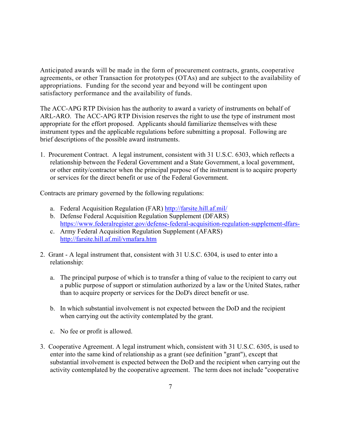Anticipated awards will be made in the form of procurement contracts, grants, cooperative agreements, or other Transaction for prototypes (OTAs) and are subject to the availability of appropriations. Funding for the second year and beyond will be contingent upon satisfactory performance and the availability of funds.

The ACC-APG RTP Division has the authority to award a variety of instruments on behalf of ARL-ARO. The ACC-APG RTP Division reserves the right to use the type of instrument most appropriate for the effort proposed. Applicants should familiarize themselves with these instrument types and the applicable regulations before submitting a proposal. Following are brief descriptions of the possible award instruments.

1. Procurement Contract. A legal instrument, consistent with 31 U.S.C. 6303, which reflects a relationship between the Federal Government and a State Government, a local government, or other entity/contractor when the principal purpose of the instrument is to acquire property or services for the direct benefit or use of the Federal Government.

Contracts are primary governed by the following regulations:

- a. Federal Acquisition Regulation (FAR) <http://farsite.hill.af.mil/>
- b. Defense Federal Acquisition Regulation Supplement (DFARS) <https://www.federalregister.gov/defense-federal-acquisition-regulation-supplement-dfars->
- c. Army Federal Acquisition Regulation Supplement (AFARS) <http://farsite.hill.af.mil/vmafara.htm>
- 2. Grant A legal instrument that, consistent with 31 U.S.C. 6304, is used to enter into a relationship:
	- a. The principal purpose of which is to transfer a thing of value to the recipient to carry out a public purpose of support or stimulation authorized by a law or the United States, rather than to acquire property or services for the DoD's direct benefit or use.
	- b. In which substantial involvement is not expected between the DoD and the recipient when carrying out the activity contemplated by the grant.
	- c. No fee or profit is allowed.
- 3. Cooperative Agreement. A legal instrument which, consistent with 31 U.S.C. 6305, is used to enter into the same kind of relationship as a grant (see definition "grant"), except that substantial involvement is expected between the DoD and the recipient when carrying out the activity contemplated by the cooperative agreement. The term does not include "cooperative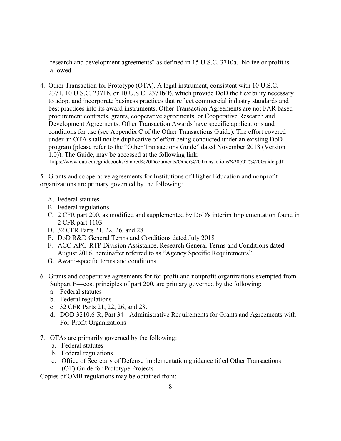research and development agreements" as defined in 15 U.S.C. 3710a. No fee or profit is allowed.

4. Other Transaction for Prototype (OTA). A legal instrument, consistent with 10 U.S.C. 2371, 10 U.S.C. 2371b, or 10 U.S.C. 2371b(f), which provide DoD the flexibility necessary to adopt and incorporate business practices that reflect commercial industry standards and best practices into its award instruments. Other Transaction Agreements are not FAR based procurement contracts, grants, cooperative agreements, or Cooperative Research and Development Agreements. Other Transaction Awards have specific applications and conditions for use (see Appendix C of the Other Transactions Guide). The effort covered under an OTA shall not be duplicative of effort being conducted under an existing DoD program (please refer to the "Other Transactions Guide" dated November 2018 (Version 1.0)). The Guide, may be accessed at the following link: https://www.dau.edu/guidebooks/Shared%20Documents/Other%20Transactions%20(OT)%20Guide.pdf

5. Grants and cooperative agreements for Institutions of Higher Education and nonprofit organizations are primary governed by the following:

- A. Federal statutes
- B. Federal regulations
- C. 2 CFR part 200, as modified and supplemented by DoD's interim Implementation found in 2 CFR part 1103
- D. 32 CFR Parts 21, 22, 26, and 28.
- E. DoD R&D General Terms and Conditions dated July 2018
- F. ACC-APG-RTP Division Assistance, Research General Terms and Conditions dated August 2016, hereinafter referred to as "Agency Specific Requirements"
- G. Award-specific terms and conditions
- 6. Grants and cooperative agreements for for-profit and nonprofit organizations exempted from Subpart E—cost principles of part 200, are primary governed by the following:
	- a. Federal statutes
	- b. Federal regulations
	- c. 32 CFR Parts 21, 22, 26, and 28.
	- d. DOD 3210.6-R, Part 34 Administrative Requirements for Grants and Agreements with For-Profit Organizations
- 7. OTAs are primarily governed by the following:
	- a. Federal statutes
	- b. Federal regulations
	- c. Office of Secretary of Defense implementation guidance titled Other Transactions (OT) Guide for Prototype Projects

Copies of OMB regulations may be obtained from: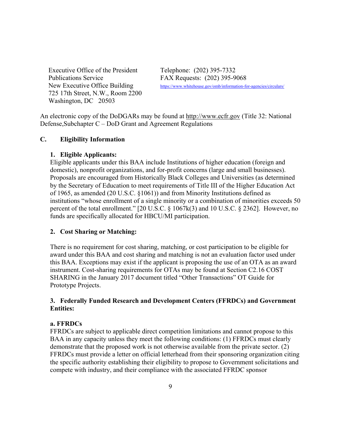Executive Office of the President Telephone: (202) 395-7332 Publications Service FAX Requests: (202) 395-9068 725 17th Street, N.W., Room 2200 Washington, DC 20503

New Executive Office Building <https://www.whitehouse.gov/omb/information-for-agencies/circulars/>

An electronic copy of the DoDGARs may be found at [http://www.ecfr.gov](http://www.ecfr.gov/) (Title 32: National Defense,Subchapter C – DoD Grant and Agreement Regulations

# <span id="page-8-0"></span>**C. Eligibility Information**

## <span id="page-8-1"></span>**1. Eligible Applicants:**

Eligible applicants under this BAA include Institutions of higher education (foreign and domestic), nonprofit organizations, and for-profit concerns (large and small businesses). Proposals are encouraged from Historically Black Colleges and Universities (as determined by the Secretary of Education to meet requirements of Title III of the Higher Education Act of 1965, as amended (20 U.S.C. §1061)) and from Minority Institutions defined as institutions "whose enrollment of a single minority or a combination of minorities exceeds 50 percent of the total enrollment." [20 U.S.C. § 1067k(3) and 10 U.S.C. § 2362]. However, no funds are specifically allocated for HBCU/MI participation.

# <span id="page-8-2"></span>**2. Cost Sharing or Matching:**

There is no requirement for cost sharing, matching, or cost participation to be eligible for award under this BAA and cost sharing and matching is not an evaluation factor used under this BAA. Exceptions may exist if the applicant is proposing the use of an OTA as an award instrument. Cost-sharing requirements for OTAs may be found at Section C2.16 COST SHARING in the January 2017 document titled "Other Transactions" OT Guide for Prototype Projects.

# <span id="page-8-3"></span>**3. Federally Funded Research and Development Centers (FFRDCs) and Government Entities:**

## **a. FFRDCs**

FFRDCs are subject to applicable direct competition limitations and cannot propose to this BAA in any capacity unless they meet the following conditions: (1) FFRDCs must clearly demonstrate that the proposed work is not otherwise available from the private sector. (2) FFRDCs must provide a letter on official letterhead from their sponsoring organization citing the specific authority establishing their eligibility to propose to Government solicitations and compete with industry, and their compliance with the associated FFRDC sponsor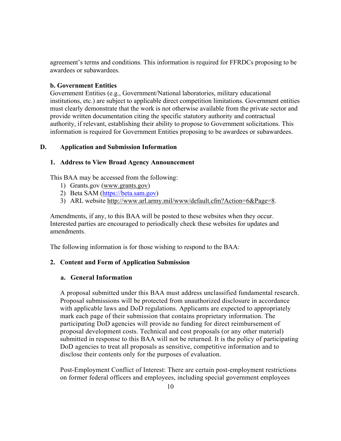agreement's terms and conditions. This information is required for FFRDCs proposing to be awardees or subawardees.

## **b. Government Entities**

Government Entities (e.g., Government/National laboratories, military educational institutions, etc.) are subject to applicable direct competition limitations. Government entities must clearly demonstrate that the work is not otherwise available from the private sector and provide written documentation citing the specific statutory authority and contractual authority, if relevant, establishing their ability to propose to Government solicitations. This information is required for Government Entities proposing to be awardees or subawardees.

# <span id="page-9-0"></span>**D. Application and Submission Information**

# <span id="page-9-1"></span>**1. Address to View Broad Agency Announcement**

This BAA may be accessed from the following:

- 1) Grants.gov [\(www.grants.gov\)](http://www.grants.gov/)
- 2) Beta SAM [\(https://beta.sam.gov\)](https://beta.sam.gov/)
- 3) ARL website [http://www.arl.army.mil/www/default.cfm?Action=6&Page=8.](http://www.arl.army.mil/www/default.cfm?Action=6&Page=8)

Amendments, if any, to this BAA will be posted to these websites when they occur. Interested parties are encouraged to periodically check these websites for updates and amendments.

The following information is for those wishing to respond to the BAA:

## <span id="page-9-2"></span>**2. Content and Form of Application Submission**

## **a. General Information**

A proposal submitted under this BAA must address unclassified fundamental research. Proposal submissions will be protected from unauthorized disclosure in accordance with applicable laws and DoD regulations. Applicants are expected to appropriately mark each page of their submission that contains proprietary information. The participating DoD agencies will provide no funding for direct reimbursement of proposal development costs. Technical and cost proposals (or any other material) submitted in response to this BAA will not be returned. It is the policy of participating DoD agencies to treat all proposals as sensitive, competitive information and to disclose their contents only for the purposes of evaluation.

Post-Employment Conflict of Interest: There are certain post-employment restrictions on former federal officers and employees, including special government employees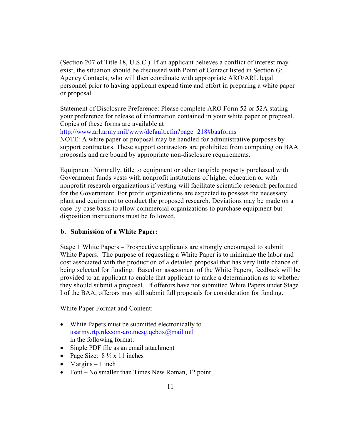(Section 207 of Title 18, U.S.C.). If an applicant believes a conflict of interest may exist, the situation should be discussed with Point of Contact listed in Section G: Agency Contacts, who will then coordinate with appropriate ARO/ARL legal personnel prior to having applicant expend time and effort in preparing a white paper or proposal.

Statement of Disclosure Preference: Please complete ARO Form 52 or 52A stating your preference for release of information contained in your white paper or proposal. Copies of these forms are available at

<http://www.arl.army.mil/www/default.cfm?page=218#baaforms>

NOTE: A white paper or proposal may be handled for administrative purposes by support contractors. These support contractors are prohibited from competing on BAA proposals and are bound by appropriate non-disclosure requirements.

Equipment: Normally, title to equipment or other tangible property purchased with Government funds vests with nonprofit institutions of higher education or with nonprofit research organizations if vesting will facilitate scientific research performed for the Government. For profit organizations are expected to possess the necessary plant and equipment to conduct the proposed research. Deviations may be made on a case-by-case basis to allow commercial organizations to purchase equipment but disposition instructions must be followed.

# **b. Submission of a White Paper:**

Stage 1 White Papers – Prospective applicants are strongly encouraged to submit White Papers. The purpose of requesting a White Paper is to minimize the labor and cost associated with the production of a detailed proposal that has very little chance of being selected for funding. Based on assessment of the White Papers, feedback will be provided to an applicant to enable that applicant to make a determination as to whether they should submit a proposal. If offerors have not submitted White Papers under Stage I of the BAA, offerors may still submit full proposals for consideration for funding.

White Paper Format and Content:

- White Papers must be submitted electronically to [usarmy.rtp.rdecom-aro.mesg.qcbox@mail.mil](mailto:usarmy.rtp.rdecom-aro.mesg.qcbox@mail.mil) in the following format:
- Single PDF file as an email attachment
- Page Size:  $8\frac{1}{2} \times 11$  inches
- Margins  $-1$  inch
- Font No smaller than Times New Roman, 12 point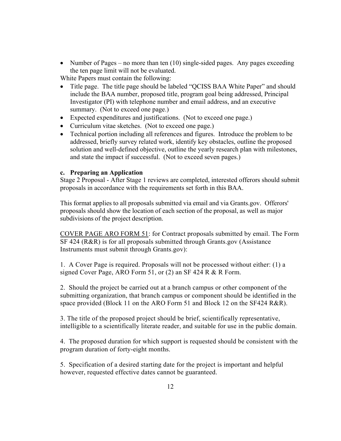• Number of Pages – no more than ten  $(10)$  single-sided pages. Any pages exceeding the ten page limit will not be evaluated.

White Papers must contain the following:

- Title page. The title page should be labeled "QCISS BAA White Paper" and should include the BAA number, proposed title, program goal being addressed, Principal Investigator (PI) with telephone number and email address, and an executive summary. (Not to exceed one page.)
- Expected expenditures and justifications. (Not to exceed one page.)
- Curriculum vitae sketches. (Not to exceed one page.)
- Technical portion including all references and figures. Introduce the problem to be addressed, briefly survey related work, identify key obstacles, outline the proposed solution and well-defined objective, outline the yearly research plan with milestones, and state the impact if successful. (Not to exceed seven pages.)

# **c. Preparing an Application**

Stage 2 Proposal - After Stage 1 reviews are completed, interested offerors should submit proposals in accordance with the requirements set forth in this BAA.

This format applies to all proposals submitted via email and via Grants.gov. Offerors' proposals should show the location of each section of the proposal, as well as major subdivisions of the project description.

COVER PAGE ARO FORM 51: for Contract proposals submitted by email. The Form SF 424 (R&R) is for all proposals submitted through Grants.gov (Assistance Instruments must submit through Grants.gov):

1. A Cover Page is required. Proposals will not be processed without either: (1) a signed Cover Page, ARO Form 51, or (2) an SF 424 R & R Form.

2. Should the project be carried out at a branch campus or other component of the submitting organization, that branch campus or component should be identified in the space provided (Block 11 on the ARO Form 51 and Block 12 on the SF424 R&R).

3. The title of the proposed project should be brief, scientifically representative, intelligible to a scientifically literate reader, and suitable for use in the public domain.

4. The proposed duration for which support is requested should be consistent with the program duration of forty-eight months.

5. Specification of a desired starting date for the project is important and helpful however, requested effective dates cannot be guaranteed.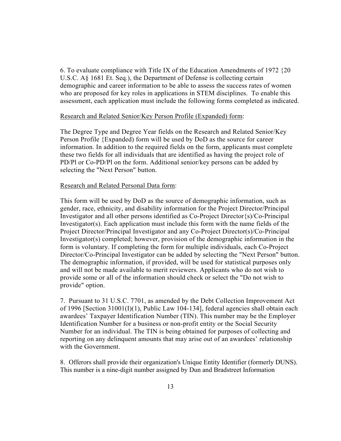6. To evaluate compliance with Title IX of the Education Amendments of 1972 {20 U.S.C. A§ 1681 Et. Seq.), the Department of Defense is collecting certain demographic and career information to be able to assess the success rates of women who are proposed for key roles in applications in STEM disciplines. To enable this assessment, each application must include the following forms completed as indicated.

#### Research and Related Senior/Key Person Profile (Expanded) form:

The Degree Type and Degree Year fields on the Research and Related Senior/Key Person Profile {Expanded) form will be used by DoD as the source for career information. In addition to the required fields on the form, applicants must complete these two fields for all individuals that are identified as having the project role of PD/Pl or Co-PD/Pl on the form. Additional senior/key persons can be added by selecting the "Next Person" button.

#### Research and Related Personal Data form:

This form will be used by DoD as the source of demographic information, such as gender, race, ethnicity, and disability information for the Project Director/Principal Investigator and all other persons identified as Co-Project Director{s)/Co-Principal Investigator(s). Each application must include this form with the name fields of the Project Director/Principal Investigator and any Co-Project Director(s)/Co-Principal Investigator(s) completed; however, provision of the demographic information in the form is voluntary. If completing the form for multiple individuals, each Co-Project Director/Co-Principal Investigator can be added by selecting the "Next Person" button. The demographic information, if provided, will be used for statistical purposes only and will not be made available to merit reviewers. Applicants who do not wish to provide some or all of the information should check or select the "Do not wish to provide" option.

7. Pursuant to 31 U.S.C. 7701, as amended by the Debt Collection Improvement Act of 1996 [Section 31001(I)(1), Public Law 104-134], federal agencies shall obtain each awardees' Taxpayer Identification Number (TIN). This number may be the Employer Identification Number for a business or non-profit entity or the Social Security Number for an individual. The TIN is being obtained for purposes of collecting and reporting on any delinquent amounts that may arise out of an awardees' relationship with the Government.

8. Offerors shall provide their organization's Unique Entity Identifier (formerly DUNS). This number is a nine-digit number assigned by Dun and Bradstreet Information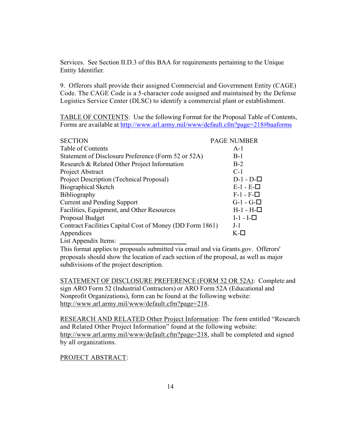Services. See Section II.D.3 of this BAA for requirements pertaining to the Unique Entity Identifier.

9. Offerors shall provide their assigned Commercial and Government Entity (CAGE) Code. The CAGE Code is a 5-character code assigned and maintained by the Defense Logistics Service Center (DLSC) to identify a commercial plant or establishment.

TABLE OF CONTENTS: Use the following Format for the Proposal Table of Contents, Forms are available at <http://www.arl.army.mil/www/default.cfm?page=218#baaforms>

| <b>SECTION</b>                                           | <b>PAGE NUMBER</b> |
|----------------------------------------------------------|--------------------|
| Table of Contents                                        | $A-1$              |
| Statement of Disclosure Preference (Form 52 or 52A)      | $B-1$              |
| Research & Related Other Project Information             | $B-2$              |
| Project Abstract                                         | $C-1$              |
| Project Description (Technical Proposal)                 | $D-1 - D-$         |
| <b>Biographical Sketch</b>                               | $E-1 - E-$         |
| <b>Bibliography</b>                                      | $F-1 - F-$         |
| <b>Current and Pending Support</b>                       | $G-1 - G-$         |
| Facilities, Equipment, and Other Resources               | $H-1 - H-D$        |
| Proposal Budget                                          | $I-1-I-$           |
| Contract Facilities Capital Cost of Money (DD Form 1861) | $J-1$              |
| Appendices                                               | K-□                |
| List Appendix Items:                                     |                    |

This format applies to proposals submitted via email and via Grants.gov. Offerors' proposals should show the location of each section of the proposal, as well as major subdivisions of the project description.

STATEMENT OF DISCLOSURE PREFERENCE (FORM 52 OR 52A): Complete and sign ARO Form 52 (Industrial Contractors) or ARO Form 52A (Educational and Nonprofit Organizations), form can be found at the following website: [http://www.arl.army.mil/www/default.cfm?page=218.](http://www.arl.army.mil/www/default.cfm?page=218)

RESEARCH AND RELATED Other Project Information: The form entitled "Research and Related Other Project Information" found at the following website: [http://www.arl.army.mil/www/default.cfm?page=218,](http://www.arl.army.mil/www/default.cfm?page=218) shall be completed and signed by all organizations.

## PROJECT ABSTRACT: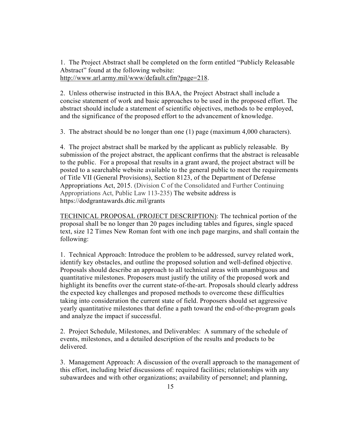1. The Project Abstract shall be completed on the form entitled "Publicly Releasable Abstract" found at the following website: [http://www.arl.army.mil/www/default.cfm?page=218.](http://www.arl.army.mil/www/default.cfm?page=218)

2. Unless otherwise instructed in this BAA, the Project Abstract shall include a concise statement of work and basic approaches to be used in the proposed effort. The abstract should include a statement of scientific objectives, methods to be employed, and the significance of the proposed effort to the advancement of knowledge.

3. The abstract should be no longer than one (1) page (maximum 4,000 characters).

4. The project abstract shall be marked by the applicant as publicly releasable. By submission of the project abstract, the applicant confirms that the abstract is releasable to the public. For a proposal that results in a grant award, the project abstract will be posted to a searchable website available to the general public to meet the requirements of Title VII (General Provisions), Section 8123, of the Department of Defense Appropriations Act, 2015. (Division C of the Consolidated and Further Continuing Appropriations Act, Public Law 113-235) The website address is https://dodgrantawards.dtic.mil/grants

TECHNICAL PROPOSAL (PROJECT DESCRIPTION): The technical portion of the proposal shall be no longer than 20 pages including tables and figures, single spaced text, size 12 Times New Roman font with one inch page margins, and shall contain the following:

1. Technical Approach: Introduce the problem to be addressed, survey related work, identify key obstacles, and outline the proposed solution and well-defined objective. Proposals should describe an approach to all technical areas with unambiguous and quantitative milestones. Proposers must justify the utility of the proposed work and highlight its benefits over the current state-of-the-art. Proposals should clearly address the expected key challenges and proposed methods to overcome these difficulties taking into consideration the current state of field. Proposers should set aggressive yearly quantitative milestones that define a path toward the end-of-the-program goals and analyze the impact if successful.

2. Project Schedule, Milestones, and Deliverables: A summary of the schedule of events, milestones, and a detailed description of the results and products to be delivered.

3. Management Approach: A discussion of the overall approach to the management of this effort, including brief discussions of: required facilities; relationships with any subawardees and with other organizations; availability of personnel; and planning,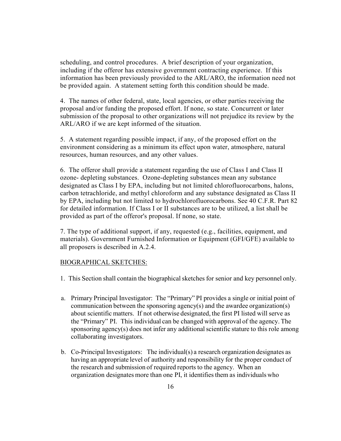scheduling, and control procedures. A brief description of your organization, including if the offeror has extensive government contracting experience. If this information has been previously provided to the ARL/ARO, the information need not be provided again. A statement setting forth this condition should be made.

4. The names of other federal, state, local agencies, or other parties receiving the proposal and/or funding the proposed effort. If none, so state. Concurrent or later submission of the proposal to other organizations will not prejudice its review by the ARL/ARO if we are kept informed of the situation.

5. A statement regarding possible impact, if any, of the proposed effort on the environment considering as a minimum its effect upon water, atmosphere, natural resources, human resources, and any other values.

6. The offeror shall provide a statement regarding the use of Class I and Class II ozone- depleting substances. Ozone-depleting substances mean any substance designated as Class I by EPA, including but not limited chlorofluorocarbons, halons, carbon tetrachloride, and methyl chloroform and any substance designated as Class II by EPA, including but not limited to hydrochlorofluorocarbons. See 40 C.F.R. Part 82 for detailed information. If Class I or II substances are to be utilized, a list shall be provided as part of the offeror's proposal. If none, so state.

7. The type of additional support, if any, requested (e.g., facilities, equipment, and materials). Government Furnished Information or Equipment (GFI/GFE) available to all proposers is described in A.2.4.

#### BIOGRAPHICAL SKETCHES:

- 1. This Section shall contain the biographical sketches for senior and key personnel only.
- a. Primary Principal Investigator: The "Primary" PI provides a single or initial point of communication between the sponsoring agency(s) and the awardee organization(s) about scientific matters. If not otherwise designated, the first PI listed will serve as the "Primary" PI. This individual can be changed with approval of the agency. The sponsoring agency(s) does not infer any additional scientific stature to this role among collaborating investigators.
- b. Co-Principal Investigators: The individual(s) a research organization designates as having an appropriate level of authority and responsibility for the proper conduct of the research and submission of required reports to the agency. When an organization designates more than one PI, it identifiesthem as individuals who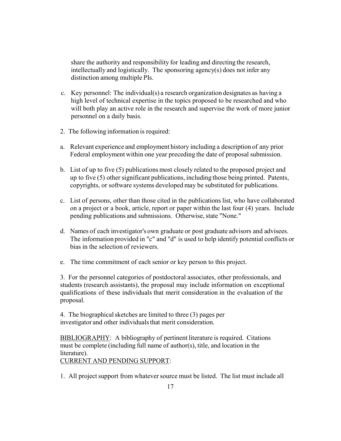share the authority and responsibility for leading and directing the research, intellectually and logistically. The sponsoring agency(s) does not infer any distinction among multiple PIs.

- c. Key personnel: The individual(s) a research organization designates as having a high level of technical expertise in the topics proposed to be researched and who will both play an active role in the research and supervise the work of more junior personnel on a daily basis.
- 2. The following information is required:
- a. Relevant experience and employment history including a description of any prior Federal employment within one year preceding the date of proposal submission.
- b. List of up to five (5) publications most closely related to the proposed project and up to five (5) other significant publications, including those being printed. Patents, copyrights, or software systems developed may be substituted for publications.
- c. List of persons, other than those cited in the publications list, who have collaborated on a project or a book, article, report or paper within the last four (4) years. Include pending publications and submissions. Otherwise, state "None."
- d. Names of each investigator's own graduate or post graduate advisors and advisees. The information provided in "c" and "d" is used to help identify potential conflicts or bias in the selection of reviewers.
- e. The time commitment of each senior or key person to this project.

3. For the personnel categories of postdoctoral associates, other professionals, and students (research assistants), the proposal may include information on exceptional qualifications of these individuals that merit consideration in the evaluation of the proposal.

4. The biographical sketches are limited to three (3) pages per investigator and other individuals that merit consideration.

BIBLIOGRAPHY: A bibliography of pertinent literature is required. Citations must be complete (including full name of author(s), title, and location in the literature).

CURRENT AND PENDING SUPPORT:

1. All project support from whatever source must be listed. The list must include all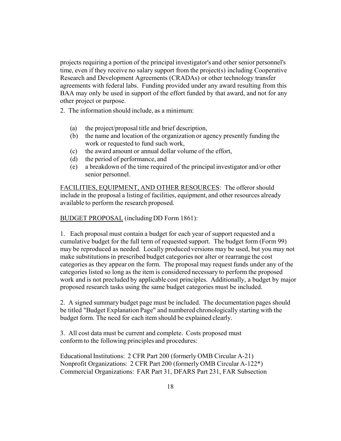projects requiring a portion of the principal investigator's and other senior personnel's time, even if they receive no salary support from the project(s) including Cooperative Research and Development Agreements (CRADAs) or other technology transfer agreements with federal labs. Funding provided under any award resulting from this BAA may only be used in support of the effort funded by that award, and not for any other project or purpose.

- 2. The information should include, as a minimum:
	- (a) the project/proposal title and brief description,
	- (b) the name and location of the organization or agency presently funding the work or requested to fund such work,
	- (c) the award amount or annual dollar volume of the effort,
	- (d) the period of performance, and
	- (e) a breakdown of the time required of the principal investigator and/or other senior personnel.

FACILITIES, EQUIPMENT, AND OTHER RESOURCES: The offeror should include in the proposal a listing of facilities, equipment, and other resources already available to perform the research proposed.

# BUDGET PROPOSAL (including DD Form 1861):

1. Each proposal must contain a budget for each year of support requested and a cumulative budget for the full term of requested support. The budget form (Form 99) may be reproduced as needed. Locally produced versions may be used, but you may not make substitutions in prescribed budget categories nor alter or rearrange the cost categories as they appear on the form. The proposal may request funds under any of the categories listed so long as the item is considered necessary to perform the proposed work and is not precluded by applicable cost principles. Additionally, a budget by major proposed research tasks using the same budget categories must be included.

2. A signed summary budget page must be included. The documentation pages should be titled "Budget Explanation Page" and numbered chronologically starting with the budget form. The need for each item should be explained clearly.

3. All cost data must be current and complete. Costs proposed must conform to the following principles and procedures:

Educational Institutions: 2 CFR Part 200 (formerly OMB Circular A-21) Nonprofit Organizations: 2 CFR Part 200 (formerly OMB Circular A-122\*) Commercial Organizations: FAR Part 31, DFARS Part 231, FAR Subsection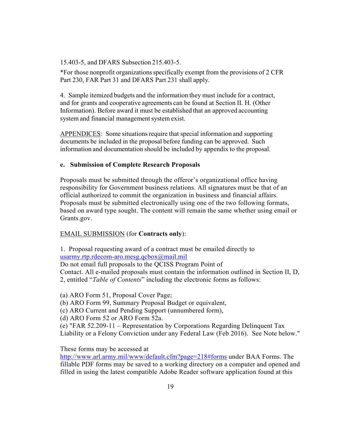15.403-5, and DFARS Subsection 215.403-5.

\*For those nonprofit organizationsspecifically exempt from the provisions of 2 CFR Part 230, FAR Part 31 and DFARS Part 231 shall apply.

4. Sample itemized budgets and the information they must include for a contract, and for grants and cooperative agreements can be found at Section II. H. (Other Information). Before award it must be established that an approved accounting system and financial management system exist.

APPENDICES: Some situations require that special information and supporting documents be included in the proposal before funding can be approved. Such information and documentation should be included by appendix to the proposal.

#### **e. Submission of Complete Research Proposals**

Proposals must be submitted through the offeror's organizational office having responsibility for Government business relations. All signatures must be that of an official authorized to commit the organization in business and financial affairs. Proposals must be submitted electronically using one of the two following formats, based on award type sought. The content will remain the same whether using email or Grants.gov.

#### EMAIL SUBMISSION (for **Contracts only**):

1. Proposal requesting award of a contract must be emailed directly to [usarmy.rtp.rdecom-aro.mesg.qcbox@mail.mil](mailto:usarmy.rtp.rdecom-aro.mesg.qcbox@mail.mil)

Do not email full proposals to the QCISS Program Point of Contact. All e-mailed proposals must contain the information outlined in Section II, D, 2, entitled "*Table of Contents*" including the electronic forms as follows:

(a) ARO Form 51, Proposal Cover Page;

(b) ARO Form 99, Summary Proposal Budget or equivalent,

(c) ARO Current and Pending Support (unnumbered form),

(d) ARO Form 52 or ARO Form 52a.

(e) "FAR 52.209-11 – Representation by Corporations Regarding Delinquent Tax Liability or a Felony Conviction under any Federal Law (Feb 2016). See Note below."

These forms may be accessed at

<http://www.arl.army.mil/www/default.cfm?page=218#forms> under BAA Forms. The fillable PDF forms may be saved to a working directory on a computer and opened and filled in using the latest compatible Adobe Reader software application found at this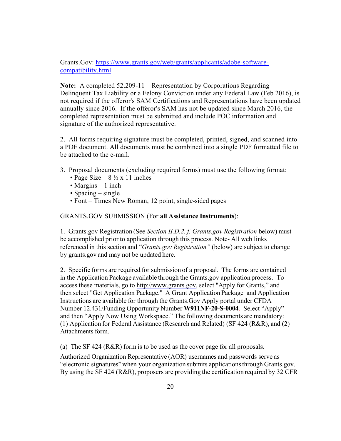Grants.Gov: [https://www.grants.gov/web/grants/applicants/adobe-software](https://www.grants.gov/web/grants/applicants/adobe-software-compatibility.html)[compatibility.html](https://www.grants.gov/web/grants/applicants/adobe-software-compatibility.html)

**Note:** A completed 52.209-11 – Representation by Corporations Regarding Delinquent Tax Liability or a Felony Conviction under any Federal Law (Feb 2016), is not required if the offeror's SAM Certifications and Representations have been updated annually since 2016. If the offeror's SAM has not be updated since March 2016, the completed representation must be submitted and include POC information and signature of the authorized representative.

2. All forms requiring signature must be completed, printed, signed, and scanned into a PDF document. All documents must be combined into a single PDF formatted file to be attached to the e-mail.

- 3. Proposal documents (excluding required forms) must use the following format:
	- Page Size  $8\frac{1}{2} \times 11$  inches
	- Margins 1 inch
	- Spacing single
	- Font Times New Roman, 12 point, single-sided pages

#### GRANTS.GOV SUBMISSION (For **all Assistance Instruments**):

1. Grants.gov Registration (See *Section II.D.2. f. Grants.gov Registration* below) must be accomplished prior to application through this process. Note- All web links referenced in this section and "*Grants.gov Registration"* (below) are subject to change by grants.gov and may not be updated here.

2. Specific forms are required for submission of a proposal. The forms are contained in the Application Package available through the Grants.gov application process. To access these materials, go to [http://www.grants.gov,](http://www.grants.gov/) select "Apply for Grants," and then select "Get Application Package." A Grant Application Package and Application Instructions are available for through the Grants.Gov Apply portal under CFDA Number 12.431/Funding Opportunity Number **W911NF-20-S-0004**. Select "Apply" and then "Apply Now Using Workspace." The following documents are mandatory: (1) Application for Federal Assistance (Research and Related) (SF 424 (R&R), and (2) Attachments form.

(a) The SF 424 (R&R) form is to be used as the cover page for all proposals.

Authorized Organization Representative (AOR) usernames and passwords serve as "electronic signatures" when your organization submits applicationsthrough Grants.gov. By using the SF 424 (R&R), proposers are providing the certification required by 32 CFR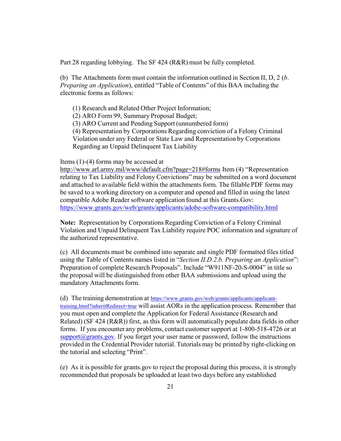Part 28 regarding lobbying. The SF 424 (R&R) must be fully completed.

(b) The Attachments form must contain the information outlined in Section II, D, 2 (*b*. *Preparing an Application*), entitled "Table of Contents" of this BAA including the electronic forms as follows:

- (1) Research and Related Other Project Information;
- (2) ARO Form 99, Summary Proposal Budget;
- (3) ARO Current and Pending Support (unnumbered form)
- (4) Representation by Corporations Regarding conviction of a Felony Criminal
- Violation under any Federal or State Law and Representation by Corporations Regarding an Unpaid Delinquent Tax Liability

#### Items (1)-(4) forms may be accessed at

[http://www.arl.army.mil/www/default.cfm?page=218#forms](http://www.arl.army.mil/www/default.cfm?page=218&forms) Item (4) "Representation relating to Tax Liability and Felony Convictions" may be submitted on a word document and attached to available field within the attachments form. The fillable PDF forms may be saved to a working directory on a computer and opened and filled in using the latest compatible Adobe Reader software application found at this Grants.Gov: <https://www.grants.gov/web/grants/applicants/adobe-software-compatibility.html>

**Note:** Representation by Corporations Regarding Conviction of a Felony Criminal Violation and Unpaid Delinquent Tax Liability require POC information and signature of the authorized representative.

(c) All documents must be combined into separate and single PDF formatted files titled using the Table of Contents names listed in "*Section II.D.2.b. Preparing an Application*": Preparation of complete Research Proposals". Include "W911NF-20-S-0004" in title so the proposal will be distinguished from other BAA submissions and upload using the mandatory Attachments form.

(d) The training demonstration at [https://www.grants.gov/web/grants/applicants/applicant](https://www.grants.gov/web/grants/applicants/applicant-training.html?inheritRedirect=true)[training.html?inheritRedirect=true](https://www.grants.gov/web/grants/applicants/applicant-training.html?inheritRedirect=true) will assist AORs in the application process. Remember that you must open and complete the Application for Federal Assistance (Research and Related) (SF 424 (R&R)) first, as this form will automatically populate data fields in other forms. If you encounter any problems, contact customer support at 1-800-518-4726 or at  $support@grams.gov$ . If you forget your user name or password, follow the instructions provided in the Credential Provider tutorial. Tutorials may be printed by right-clicking on the tutorial and selecting "Print".

(e) As it is possible for grants.gov to reject the proposal during this process, it is strongly recommended that proposals be uploaded at least two days before any established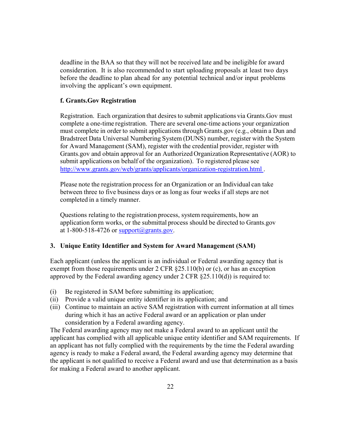deadline in the BAA so that they will not be received late and be ineligible for award consideration. It is also recommended to start uploading proposals at least two days before the deadline to plan ahead for any potential technical and/or input problems involving the applicant's own equipment.

# **f. Grants.Gov Registration**

Registration. Each organization that desires to submit applications via Grants.Gov must complete a one-time registration. There are several one-time actions your organization must complete in order to submit applicationsthrough Grants.gov (e.g., obtain a Dun and Bradstreet Data Universal Numbering System (DUNS) number, register with the System for Award Management (SAM), register with the credential provider, register with Grants.gov and obtain approval for an Authorized Organization Representative (AOR) to submit applications on behalf of the organization). To registered please see <http://www.grants.gov/web/grants/applicants/organization-registration.html>.

Please note the registration process for an Organization or an Individual can take between three to five business days or as long as four weeks if all steps are not completed in a timely manner.

Questions relating to the registration process, system requirements, how an application form works, or the submittal process should be directed to Grants.gov at 1-800-518-4726 or  $\frac{\text{support}(a)}{\text{grams}}$ , gov.

# <span id="page-21-0"></span>**3. Unique Entity Identifier and System for Award Management (SAM)**

Each applicant (unless the applicant is an individual or Federal awarding agency that is exempt from those requirements under 2 CFR  $\S 25.110(b)$  or (c), or has an exception approved by the Federal awarding agency under 2 CFR §25.110(d)) is required to:

- (i) Be registered in SAM before submitting its application;
- (ii) Provide a valid unique entity identifier in its application; and
- (iii) Continue to maintain an active SAM registration with current information at all times during which it has an active Federal award or an application or plan under consideration by a Federal awarding agency.

The Federal awarding agency may not make a Federal award to an applicant until the applicant has complied with all applicable unique entity identifier and SAM requirements. If an applicant has not fully complied with the requirements by the time the Federal awarding agency is ready to make a Federal award, the Federal awarding agency may determine that the applicant is not qualified to receive a Federal award and use that determination as a basis for making a Federal award to another applicant.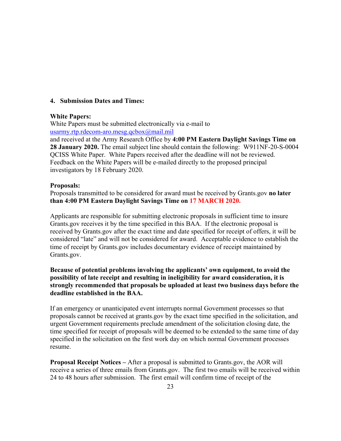# <span id="page-22-0"></span>**4. Submission Dates and Times:**

## **White Papers:**

White Papers must be submitted electronically via e-mail to [usarmy.rtp.rdecom-aro.mesg.qcbox@mail.mil](mailto:usarmy.rtp.rdecom-aro.mesg.qcbox@mail.mil)

and received at the Army Research Office by **4:00 PM Eastern Daylight Savings Time on 28 January 2020.** The email subject line should contain the following: W911NF-20-S-0004 QCISS White Paper. White Papers received after the deadline will not be reviewed. Feedback on the White Papers will be e-mailed directly to the proposed principal investigators by 18 February 2020.

# **Proposals:**

Proposals transmitted to be considered for award must be received by Grants.gov **no later than 4:00 PM Eastern Daylight Savings Time on 17 MARCH 2020.**

Applicants are responsible for submitting electronic proposals in sufficient time to insure Grants.gov receives it by the time specified in this BAA. If the electronic proposal is received by Grants.gov after the exact time and date specified for receipt of offers, it will be considered "late" and will not be considered for award. Acceptable evidence to establish the time of receipt by Grants.gov includes documentary evidence of receipt maintained by Grants.gov.

# **Because of potential problems involving the applicants' own equipment, to avoid the possibility of late receipt and resulting in ineligibility for award consideration, it is strongly recommended that proposals be uploaded at least two business days before the deadline established in the BAA.**

If an emergency or unanticipated event interrupts normal Government processes so that proposals cannot be received at grants.gov by the exact time specified in the solicitation, and urgent Government requirements preclude amendment of the solicitation closing date, the time specified for receipt of proposals will be deemed to be extended to the same time of day specified in the solicitation on the first work day on which normal Government processes resume.

**Proposal Receipt Notices –** After a proposal is submitted to Grants.gov, the AOR will receive a series of three emails from Grants.gov. The first two emails will be received within 24 to 48 hours after submission. The first email will confirm time of receipt of the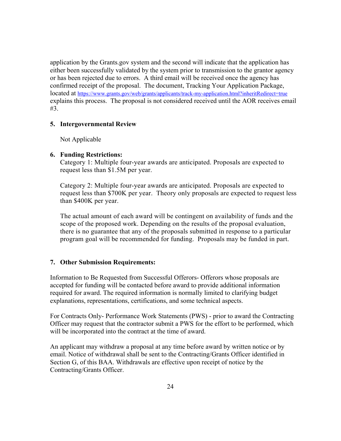application by the Grants.gov system and the second will indicate that the application has either been successfully validated by the system prior to transmission to the grantor agency or has been rejected due to errors. A third email will be received once the agency has confirmed receipt of the proposal. The document, Tracking Your Application Package, located at <https://www.grants.gov/web/grants/applicants/track-my-application.html?inheritRedirect=true> explains this process. The proposal is not considered received until the AOR receives email #3.

## <span id="page-23-0"></span>**5. Intergovernmental Review**

Not Applicable

## <span id="page-23-1"></span>**6. Funding Restrictions:**

Category 1: Multiple four-year awards are anticipated. Proposals are expected to request less than \$1.5M per year.

Category 2: Multiple four-year awards are anticipated. Proposals are expected to request less than \$700K per year. Theory only proposals are expected to request less than \$400K per year.

The actual amount of each award will be contingent on availability of funds and the scope of the proposed work. Depending on the results of the proposal evaluation, there is no guarantee that any of the proposals submitted in response to a particular program goal will be recommended for funding. Proposals may be funded in part.

## <span id="page-23-2"></span>**7. Other Submission Requirements:**

Information to Be Requested from Successful Offerors- Offerors whose proposals are accepted for funding will be contacted before award to provide additional information required for award. The required information is normally limited to clarifying budget explanations, representations, certifications, and some technical aspects.

For Contracts Only- Performance Work Statements (PWS) - prior to award the Contracting Officer may request that the contractor submit a PWS for the effort to be performed, which will be incorporated into the contract at the time of award.

An applicant may withdraw a proposal at any time before award by written notice or by email. Notice of withdrawal shall be sent to the Contracting/Grants Officer identified in Section G, of this BAA. Withdrawals are effective upon receipt of notice by the Contracting/Grants Officer.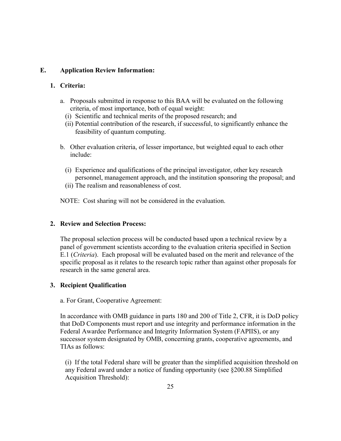# <span id="page-24-0"></span>**E. Application Review Information:**

# <span id="page-24-1"></span>**1. Criteria:**

- a. Proposals submitted in response to this BAA will be evaluated on the following criteria, of most importance, both of equal weight:
	- (i) Scientific and technical merits of the proposed research; and
	- (ii) Potential contribution of the research, if successful, to significantly enhance the feasibility of quantum computing.
- b. Other evaluation criteria, of lesser importance, but weighted equal to each other include:
	- (i) Experience and qualifications of the principal investigator, other key research personnel, management approach, and the institution sponsoring the proposal; and
	- (ii) The realism and reasonableness of cost.

NOTE: Cost sharing will not be considered in the evaluation.

# <span id="page-24-2"></span>**2. Review and Selection Process:**

The proposal selection process will be conducted based upon a technical review by a panel of government scientists according to the evaluation criteria specified in Section E.1 (*Criteria*). Each proposal will be evaluated based on the merit and relevance of the specific proposal as it relates to the research topic rather than against other proposals for research in the same general area.

# <span id="page-24-3"></span>**3. Recipient Qualification**

a. For Grant, Cooperative Agreement:

In accordance with OMB guidance in parts 180 and 200 of Title 2, CFR, it is DoD policy that DoD Components must report and use integrity and performance information in the Federal Awardee Performance and Integrity Information System (FAPIIS), or any successor system designated by OMB, concerning grants, cooperative agreements, and TIAs as follows:

(i) If the total Federal share will be greater than the simplified acquisition threshold on any Federal award under a notice of funding opportunity (see §200.88 Simplified Acquisition Threshold):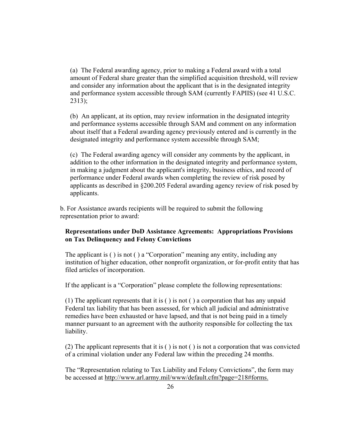(a) The Federal awarding agency, prior to making a Federal award with a total amount of Federal share greater than the simplified acquisition threshold, will review and consider any information about the applicant that is in the designated integrity and performance system accessible through SAM (currently FAPIIS) (see 41 U.S.C. 2313);

(b) An applicant, at its option, may review information in the designated integrity and performance systems accessible through SAM and comment on any information about itself that a Federal awarding agency previously entered and is currently in the designated integrity and performance system accessible through SAM;

(c) The Federal awarding agency will consider any comments by the applicant, in addition to the other information in the designated integrity and performance system, in making a judgment about the applicant's integrity, business ethics, and record of performance under Federal awards when completing the review of risk posed by applicants as described in §200.205 Federal awarding agency review of risk posed by applicants.

b. For Assistance awards recipients will be required to submit the following representation prior to award:

# **Representations under DoD Assistance Agreements: Appropriations Provisions on Tax Delinquency and Felony Convictions**

The applicant is ( ) is not ( ) a "Corporation" meaning any entity, including any institution of higher education, other nonprofit organization, or for-profit entity that has filed articles of incorporation.

If the applicant is a "Corporation" please complete the following representations:

(1) The applicant represents that it is ( ) is not ( ) a corporation that has any unpaid Federal tax liability that has been assessed, for which all judicial and administrative remedies have been exhausted or have lapsed, and that is not being paid in a timely manner pursuant to an agreement with the authority responsible for collecting the tax liability.

(2) The applicant represents that it is ( ) is not ( ) is not a corporation that was convicted of a criminal violation under any Federal law within the preceding 24 months.

The "Representation relating to Tax Liability and Felony Convictions", the form may be accessed at [http://www.arl.army.mil/www/default.cfm?page=218#forms.](http://www.arl.army.mil/www/default.cfm?page=218#forms.%20)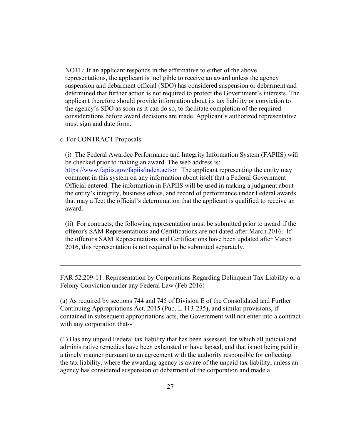NOTE: If an applicant responds in the affirmative to either of the above representations, the applicant is ineligible to receive an award unless the agency suspension and debarment official (SDO) has considered suspension or debarment and determined that further action is not required to protect the Government's interests. The applicant therefore should provide information about its tax liability or conviction to the agency's SDO as soon as it can do so, to facilitate completion of the required considerations before award decisions are made. Applicant's authorized representative must sign and date form.

#### c. For CONTRACT Proposals:

(i) The Federal Awardee Performance and Integrity Information System (FAPIIS) will be checked prior to making an award. The web address is: <https://www.fapiis.gov/fapiis/index.action> The applicant representing the entity may comment in this system on any information about itself that a Federal Government Official entered. The information in FAPIIS will be used in making a judgment about the entity's integrity, business ethics, and record of performance under Federal awards that may affect the official's determination that the applicant is qualified to receive an award.

(ii) For contracts, the following representation must be submitted prior to award if the offeror's SAM Representations and Certifications are not dated after March 2016. If the offeror's SAM Representations and Certifications have been updated after March 2016, this representation is not required to be submitted separately.

FAR 52.209-11: Representation by Corporations Regarding Delinquent Tax Liability or a Felony Conviction under any Federal Law (Feb 2016)

 $\_$  , and the set of the set of the set of the set of the set of the set of the set of the set of the set of the set of the set of the set of the set of the set of the set of the set of the set of the set of the set of th

(a) As required by sections 744 and 745 of Division E of the Consolidated and Further Continuing Appropriations Act, 2015 (Pub. L 113-235), and similar provisions, if contained in subsequent appropriations acts, the Government will not enter into a contract with any corporation that--

(1) Has any unpaid Federal tax liability that has been assessed, for which all judicial and administrative remedies have been exhausted or have lapsed, and that is not being paid in a timely manner pursuant to an agreement with the authority responsible for collecting the tax liability, where the awarding agency is aware of the unpaid tax liability, unless an agency has considered suspension or debarment of the corporation and made a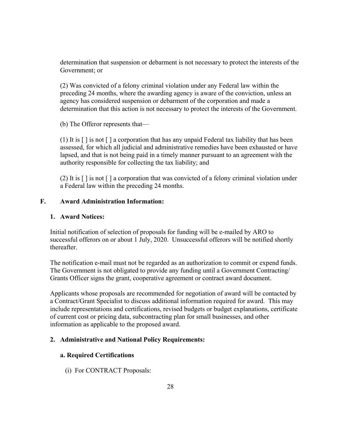determination that suspension or debarment is not necessary to protect the interests of the Government; or

(2) Was convicted of a felony criminal violation under any Federal law within the preceding 24 months, where the awarding agency is aware of the conviction, unless an agency has considered suspension or debarment of the corporation and made a determination that this action is not necessary to protect the interests of the Government.

(b) The Offeror represents that—

(1) It is  $\lceil \cdot \rceil$  is not  $\lceil \cdot \rceil$  a corporation that has any unpaid Federal tax liability that has been assessed, for which all judicial and administrative remedies have been exhausted or have lapsed, and that is not being paid in a timely manner pursuant to an agreement with the authority responsible for collecting the tax liability; and

(2) It is  $\lceil \cdot \rceil$  is not  $\lceil \cdot \rceil$  a corporation that was convicted of a felony criminal violation under a Federal law within the preceding 24 months.

# <span id="page-27-0"></span>**F. Award Administration Information:**

# <span id="page-27-1"></span>**1. Award Notices:**

Initial notification of selection of proposals for funding will be e-mailed by ARO to successful offerors on or about 1 July, 2020. Unsuccessful offerors will be notified shortly thereafter.

The notification e-mail must not be regarded as an authorization to commit or expend funds. The Government is not obligated to provide any funding until a Government Contracting/ Grants Officer signs the grant, cooperative agreement or contract award document.

Applicants whose proposals are recommended for negotiation of award will be contacted by a Contract/Grant Specialist to discuss additional information required for award. This may include representations and certifications, revised budgets or budget explanations, certificate of current cost or pricing data, subcontracting plan for small businesses, and other information as applicable to the proposed award.

## <span id="page-27-2"></span>**2. Administrative and National Policy Requirements:**

## **a. Required Certifications**

(i) For CONTRACT Proposals: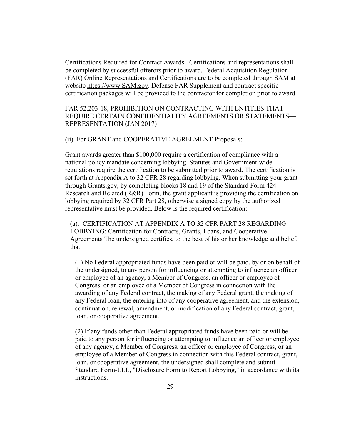Certifications Required for Contract Awards. Certifications and representations shall be completed by successful offerors prior to award. Federal Acquisition Regulation (FAR) Online Representations and Certifications are to be completed through SAM at website [https://www.SAM.gov.](https://www.sam.gov/) Defense FAR Supplement and contract specific certification packages will be provided to the contractor for completion prior to award.

# FAR 52.203-18, PROHIBITION ON CONTRACTING WITH ENTITIES THAT REQUIRE CERTAIN CONFIDENTIALITY AGREEMENTS OR STATEMENTS— REPRESENTATION (JAN 2017)

#### (ii) For GRANT and COOPERATIVE AGREEMENT Proposals:

Grant awards greater than \$100,000 require a certification of compliance with a national policy mandate concerning lobbying. Statutes and Government-wide regulations require the certification to be submitted prior to award. The certification is set forth at Appendix A to 32 CFR 28 regarding lobbying. When submitting your grant through Grants.gov, by completing blocks 18 and 19 of the Standard Form 424 Research and Related (R&R) Form, the grant applicant is providing the certification on lobbying required by 32 CFR Part 28, otherwise a signed copy by the authorized representative must be provided. Below is the required certification:

(a). CERTIFICATION AT APPENDIX A TO 32 CFR PART 28 REGARDING LOBBYING: Certification for Contracts, Grants, Loans, and Cooperative Agreements The undersigned certifies, to the best of his or her knowledge and belief, that:

(1) No Federal appropriated funds have been paid or will be paid, by or on behalf of the undersigned, to any person for influencing or attempting to influence an officer or employee of an agency, a Member of Congress, an officer or employee of Congress, or an employee of a Member of Congress in connection with the awarding of any Federal contract, the making of any Federal grant, the making of any Federal loan, the entering into of any cooperative agreement, and the extension, continuation, renewal, amendment, or modification of any Federal contract, grant, loan, or cooperative agreement.

(2) If any funds other than Federal appropriated funds have been paid or will be paid to any person for influencing or attempting to influence an officer or employee of any agency, a Member of Congress, an officer or employee of Congress, or an employee of a Member of Congress in connection with this Federal contract, grant, loan, or cooperative agreement, the undersigned shall complete and submit Standard Form-LLL, "Disclosure Form to Report Lobbying," in accordance with its instructions.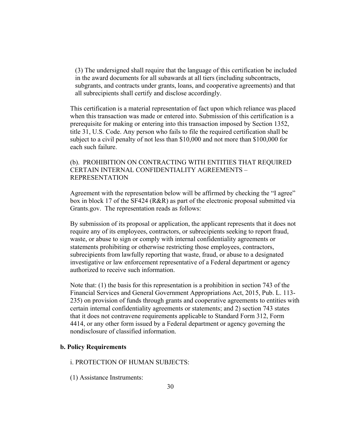(3) The undersigned shall require that the language of this certification be included in the award documents for all subawards at all tiers (including subcontracts, subgrants, and contracts under grants, loans, and cooperative agreements) and that all subrecipients shall certify and disclose accordingly.

This certification is a material representation of fact upon which reliance was placed when this transaction was made or entered into. Submission of this certification is a prerequisite for making or entering into this transaction imposed by Section 1352, title 31, U.S. Code. Any person who fails to file the required certification shall be subject to a civil penalty of not less than \$10,000 and not more than \$100,000 for each such failure.

# (b). PROHIBITION ON CONTRACTING WITH ENTITIES THAT REQUIRED CERTAIN INTERNAL CONFIDENTIALITY AGREEMENTS – REPRESENTATION

Agreement with the representation below will be affirmed by checking the "I agree" box in block 17 of the SF424 (R&R) as part of the electronic proposal submitted via Grants.gov. The representation reads as follows:

By submission of its proposal or application, the applicant represents that it does not require any of its employees, contractors, or subrecipients seeking to report fraud, waste, or abuse to sign or comply with internal confidentiality agreements or statements prohibiting or otherwise restricting those employees, contractors, subrecipients from lawfully reporting that waste, fraud, or abuse to a designated investigative or law enforcement representative of a Federal department or agency authorized to receive such information.

Note that: (1) the basis for this representation is a prohibition in section 743 of the Financial Services and General Government Appropriations Act, 2015, Pub. L. 113- 235) on provision of funds through grants and cooperative agreements to entities with certain internal confidentiality agreements or statements; and 2) section 743 states that it does not contravene requirements applicable to Standard Form 312, Form 4414, or any other form issued by a Federal department or agency governing the nondisclosure of classified information.

#### **b. Policy Requirements**

#### i. PROTECTION OF HUMAN SUBJECTS:

(1) Assistance Instruments: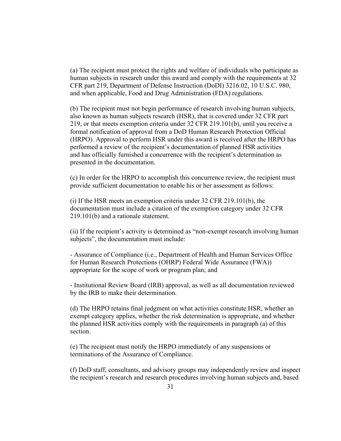(a) The recipient must protect the rights and welfare of individuals who participate as human subjects in research under this award and comply with the requirements at 32 CFR part 219, Department of Defense Instruction (DoDI) 3216.02, 10 U.S.C. 980, and when applicable, Food and Drug Administration (FDA) regulations.

(b) The recipient must not begin performance of research involving human subjects, also known as human subjects research (HSR), that is covered under 32 CFR part 219, or that meets exemption criteria under 32 CFR 219.101(b), until you receive a formal notification of approval from a DoD Human Research Protection Official (HRPO). Approval to perform HSR under this award is received after the HRPO has performed a review of the recipient's documentation of planned HSR activities and has officially furnished a concurrence with the recipient's determination as presented in the documentation.

(c) In order for the HRPO to accomplish this concurrence review, the recipient must provide sufficient documentation to enable his or her assessment as follows:

(i) If the HSR meets an exemption criteria under 32 CFR 219.101(b), the documentation must include a citation of the exemption category under 32 CFR 219.101(b) and a rationale statement.

(ii) If the recipient's activity is determined as "non-exempt research involving human subjects", the documentation must include:

- Assurance of Compliance (i.e., Department of Health and Human Services Office for Human Research Protections (OHRP) Federal Wide Assurance (FWA)) appropriate for the scope of work or program plan; and

- Institutional Review Board (IRB) approval, as well as all documentation reviewed by the IRB to make their determination.

(d) The HRPO retains final judgment on what activities constitute HSR, whether an exempt category applies, whether the risk determination is appropriate, and whether the planned HSR activities comply with the requirements in paragraph (a) of this section.

(e) The recipient must notify the HRPO immediately of any suspensions or terminations of the Assurance of Compliance.

(f) DoD staff, consultants, and advisory groups may independently review and inspect the recipient's research and research procedures involving human subjects and, based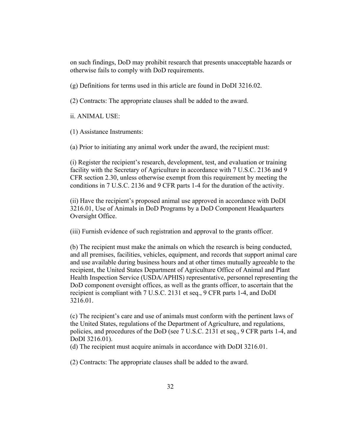on such findings, DoD may prohibit research that presents unacceptable hazards or otherwise fails to comply with DoD requirements.

(g) Definitions for terms used in this article are found in DoDI 3216.02.

(2) Contracts: The appropriate clauses shall be added to the award.

ii. ANIMAL USE:

(1) Assistance Instruments:

(a) Prior to initiating any animal work under the award, the recipient must:

(i) Register the recipient's research, development, test, and evaluation or training facility with the Secretary of Agriculture in accordance with 7 U.S.C. 2136 and 9 CFR section 2.30, unless otherwise exempt from this requirement by meeting the conditions in 7 U.S.C. 2136 and 9 CFR parts 1-4 for the duration of the activity.

(ii) Have the recipient's proposed animal use approved in accordance with DoDI 3216.01, Use of Animals in DoD Programs by a DoD Component Headquarters Oversight Office.

(iii) Furnish evidence of such registration and approval to the grants officer.

(b) The recipient must make the animals on which the research is being conducted, and all premises, facilities, vehicles, equipment, and records that support animal care and use available during business hours and at other times mutually agreeable to the recipient, the United States Department of Agriculture Office of Animal and Plant Health Inspection Service (USDA/APHIS) representative, personnel representing the DoD component oversight offices, as well as the grants officer, to ascertain that the recipient is compliant with 7 U.S.C. 2131 et seq., 9 CFR parts 1-4, and DoDI 3216.01.

(c) The recipient's care and use of animals must conform with the pertinent laws of the United States, regulations of the Department of Agriculture, and regulations, policies, and procedures of the DoD (see 7 U.S.C. 2131 et seq., 9 CFR parts 1-4, and DoDI 3216.01).

(d) The recipient must acquire animals in accordance with DoDI 3216.01.

(2) Contracts: The appropriate clauses shall be added to the award.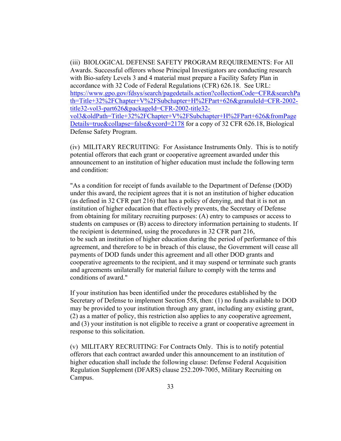(iii) BIOLOGICAL DEFENSE SAFETY PROGRAM REQUIREMENTS: For All Awards. Successful offerors whose Principal Investigators are conducting research with Bio-safety Levels 3 and 4 material must prepare a Facility Safety Plan in accordance with 32 Code of Federal Regulations (CFR) 626.18. See URL: [https://www.gpo.gov/fdsys/search/pagedetails.action?collectionCode=CFR&searchPa](https://www.gpo.gov/fdsys/search/pagedetails.action?collectionCode=CFR&searchPath=Title+32%2FChapter+V%2FSubchapter+H%2FPart+626&granuleId=CFR-2002-title32-vol3-part626&packageId=CFR-2002-title32-vol3&oldPath=Title+32%2FChapter+V%2FSubchapter+H%2FPart+626&fromPageDetails=true&collapse=false&ycord=2178) [th=Title+32%2FChapter+V%2FSubchapter+H%2FPart+626&granuleId=CFR-2002](https://www.gpo.gov/fdsys/search/pagedetails.action?collectionCode=CFR&searchPath=Title+32%2FChapter+V%2FSubchapter+H%2FPart+626&granuleId=CFR-2002-title32-vol3-part626&packageId=CFR-2002-title32-vol3&oldPath=Title+32%2FChapter+V%2FSubchapter+H%2FPart+626&fromPageDetails=true&collapse=false&ycord=2178) [title32-vol3-part626&packageId=CFR-2002-title32](https://www.gpo.gov/fdsys/search/pagedetails.action?collectionCode=CFR&searchPath=Title+32%2FChapter+V%2FSubchapter+H%2FPart+626&granuleId=CFR-2002-title32-vol3-part626&packageId=CFR-2002-title32-vol3&oldPath=Title+32%2FChapter+V%2FSubchapter+H%2FPart+626&fromPageDetails=true&collapse=false&ycord=2178) [vol3&oldPath=Title+32%2FChapter+V%2FSubchapter+H%2FPart+626&fromPage](https://www.gpo.gov/fdsys/search/pagedetails.action?collectionCode=CFR&searchPath=Title+32%2FChapter+V%2FSubchapter+H%2FPart+626&granuleId=CFR-2002-title32-vol3-part626&packageId=CFR-2002-title32-vol3&oldPath=Title+32%2FChapter+V%2FSubchapter+H%2FPart+626&fromPageDetails=true&collapse=false&ycord=2178) [Details=true&collapse=false&ycord=2178](https://www.gpo.gov/fdsys/search/pagedetails.action?collectionCode=CFR&searchPath=Title+32%2FChapter+V%2FSubchapter+H%2FPart+626&granuleId=CFR-2002-title32-vol3-part626&packageId=CFR-2002-title32-vol3&oldPath=Title+32%2FChapter+V%2FSubchapter+H%2FPart+626&fromPageDetails=true&collapse=false&ycord=2178) for a copy of 32 CFR 626.18, Biological Defense Safety Program.

(iv) MILITARY RECRUITING: For Assistance Instruments Only. This is to notify potential offerors that each grant or cooperative agreement awarded under this announcement to an institution of higher education must include the following term and condition:

"As a condition for receipt of funds available to the Department of Defense (DOD) under this award, the recipient agrees that it is not an institution of higher education (as defined in 32 CFR part 216) that has a policy of denying, and that it is not an institution of higher education that effectively prevents, the Secretary of Defense from obtaining for military recruiting purposes: (A) entry to campuses or access to students on campuses or (B) access to directory information pertaining to students. If the recipient is determined, using the procedures in 32 CFR part 216, to be such an institution of higher education during the period of performance of this agreement, and therefore to be in breach of this clause, the Government will cease all payments of DOD funds under this agreement and all other DOD grants and cooperative agreements to the recipient, and it may suspend or terminate such grants and agreements unilaterally for material failure to comply with the terms and conditions of award."

If your institution has been identified under the procedures established by the Secretary of Defense to implement Section 558, then: (1) no funds available to DOD may be provided to your institution through any grant, including any existing grant, (2) as a matter of policy, this restriction also applies to any cooperative agreement, and (3) your institution is not eligible to receive a grant or cooperative agreement in response to this solicitation.

(v) MILITARY RECRUITING: For Contracts Only. This is to notify potential offerors that each contract awarded under this announcement to an institution of higher education shall include the following clause: Defense Federal Acquisition Regulation Supplement (DFARS) clause 252.209-7005, Military Recruiting on Campus.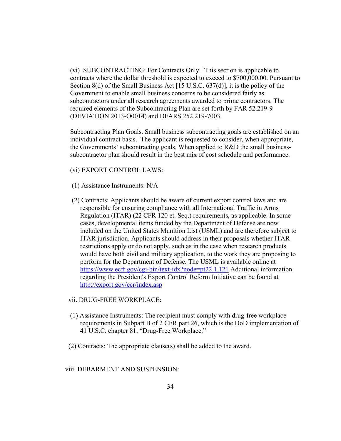(vi) SUBCONTRACTING: For Contracts Only. This section is applicable to contracts where the dollar threshold is expected to exceed to \$700,000.00. Pursuant to Section 8(d) of the Small Business Act [15 U.S.C. 637(d)], it is the policy of the Government to enable small business concerns to be considered fairly as subcontractors under all research agreements awarded to prime contractors. The required elements of the Subcontracting Plan are set forth by FAR 52.219-9 (DEVIATION 2013-O0014) and DFARS 252.219-7003.

Subcontracting Plan Goals. Small business subcontracting goals are established on an individual contract basis. The applicant is requested to consider, when appropriate, the Governments' subcontracting goals. When applied to R&D the small businesssubcontractor plan should result in the best mix of cost schedule and performance.

(vi) EXPORT CONTROL LAWS:

- (1) Assistance Instruments: N/A
- (2) Contracts: Applicants should be aware of current export control laws and are responsible for ensuring compliance with all International Traffic in Arms Regulation (ITAR) (22 CFR 120 et. Seq.) requirements, as applicable. In some cases, developmental items funded by the Department of Defense are now included on the United States Munition List (USML) and are therefore subject to ITAR jurisdiction. Applicants should address in their proposals whether ITAR restrictions apply or do not apply, such as in the case when research products would have both civil and military application, to the work they are proposing to perform for the Department of Defense. The USML is available online at <https://www.ecfr.gov/cgi-bin/text-idx?node=pt22.1.121> Additional information regarding the President's Export Control Reform Initiative can be found at <http://export.gov/ecr/index.asp>

# vii. DRUG-FREE WORKPLACE:

- (1) Assistance Instruments: The recipient must comply with drug-free workplace requirements in Subpart B of 2 CFR part 26, which is the DoD implementation of 41 U.S.C. chapter 81, "Drug-Free Workplace."
- (2) Contracts: The appropriate clause(s) shall be added to the award.

## viii. DEBARMENT AND SUSPENSION: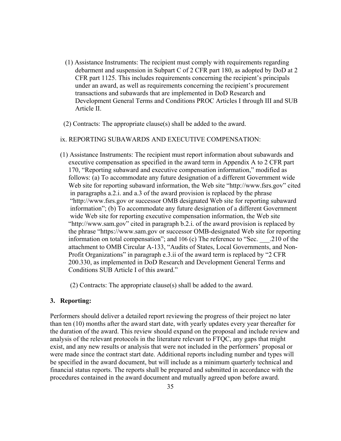- (1) Assistance Instruments: The recipient must comply with requirements regarding debarment and suspension in Subpart C of 2 CFR part 180, as adopted by DoD at 2 CFR part 1125. This includes requirements concerning the recipient's principals under an award, as well as requirements concerning the recipient's procurement transactions and subawards that are implemented in DoD Research and Development General Terms and Conditions PROC Articles I through III and SUB Article II.
- (2) Contracts: The appropriate clause(s) shall be added to the award.

# ix. REPORTING SUBAWARDS AND EXECUTIVE COMPENSATION:

(1) Assistance Instruments: The recipient must report information about subawards and executive compensation as specified in the award term in Appendix A to 2 CFR part 170, "Reporting subaward and executive compensation information," modified as follows: (a) To accommodate any future designation of a different Government wide Web site for reporting subaward information, the Web site "http://www.fsrs.gov" cited in paragraphs a.2.i. and a.3 of the award provision is replaced by the phrase "http://www.fsrs.gov or successor OMB designated Web site for reporting subaward information"; (b) To accommodate any future designation of a different Government wide Web site for reporting executive compensation information, the Web site "http://www.sam.gov" cited in paragraph b.2.i. of the award provision is replaced by the phrase "https://www.sam.gov or successor OMB-designated Web site for reporting information on total compensation"; and 106 (c) The reference to "Sec. \_\_\_.210 of the attachment to OMB Circular A-133, "Audits of States, Local Governments, and Non- Profit Organizations" in paragraph e.3.ii of the award term is replaced by "2 CFR 200.330, as implemented in DoD Research and Development General Terms and Conditions SUB Article I of this award."

(2) Contracts: The appropriate clause(s) shall be added to the award.

#### <span id="page-34-0"></span>**3. Reporting:**

Performers should deliver a detailed report reviewing the progress of their project no later than ten (10) months after the award start date, with yearly updates every year thereafter for the duration of the award. This review should expand on the proposal and include review and analysis of the relevant protocols in the literature relevant to FTQC, any gaps that might exist, and any new results or analysis that were not included in the performers' proposal or were made since the contract start date. Additional reports including number and types will be specified in the award document, but will include as a minimum quarterly technical and financial status reports. The reports shall be prepared and submitted in accordance with the procedures contained in the award document and mutually agreed upon before award.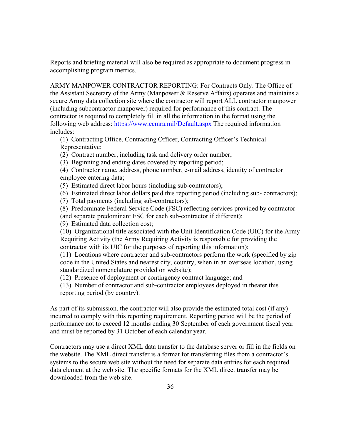Reports and briefing material will also be required as appropriate to document progress in accomplishing program metrics.

ARMY MANPOWER CONTRACTOR REPORTING: For Contracts Only. The Office of the Assistant Secretary of the Army (Manpower & Reserve Affairs) operates and maintains a secure Army data collection site where the contractor will report ALL contractor manpower (including subcontractor manpower) required for performance of this contract. The contractor is required to completely fill in all the information in the format using the following web address:<https://www.ecmra.mil/Default.aspx> The required information includes:

(1) Contracting Office, Contracting Officer, Contracting Officer's Technical Representative;

(2) Contract number, including task and delivery order number;

(3) Beginning and ending dates covered by reporting period;

(4) Contractor name, address, phone number, e-mail address, identity of contractor employee entering data;

(5) Estimated direct labor hours (including sub-contractors);

(6) Estimated direct labor dollars paid this reporting period (including sub- contractors);

(7) Total payments (including sub-contractors);

(8) Predominate Federal Service Code (FSC) reflecting services provided by contractor (and separate predominant FSC for each sub-contractor if different);

(9) Estimated data collection cost;

(10) Organizational title associated with the Unit Identification Code (UIC) for the Army Requiring Activity (the Army Requiring Activity is responsible for providing the contractor with its UIC for the purposes of reporting this information);

(11) Locations where contractor and sub-contractors perform the work (specified by zip code in the United States and nearest city, country, when in an overseas location, using standardized nomenclature provided on website);

(12) Presence of deployment or contingency contract language; and

(13) Number of contractor and sub-contractor employees deployed in theater this reporting period (by country).

As part of its submission, the contractor will also provide the estimated total cost (if any) incurred to comply with this reporting requirement. Reporting period will be the period of performance not to exceed 12 months ending 30 September of each government fiscal year and must be reported by 31 October of each calendar year.

Contractors may use a direct XML data transfer to the database server or fill in the fields on the website. The XML direct transfer is a format for transferring files from a contractor's systems to the secure web site without the need for separate data entries for each required data element at the web site. The specific formats for the XML direct transfer may be downloaded from the web site.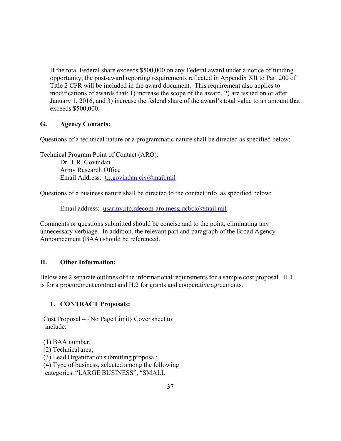If the total Federal share exceeds \$500,000 on any Federal award under a notice of funding opportunity, the post-award reporting requirements reflected in Appendix XII to Part 200 of Title 2 CFR will be included in the award document. This requirement also applies to modifications of awards that: 1) increase the scope of the award, 2) are issued on or after January 1, 2016, and 3) increase the federal share of the award's total value to an amount that exceeds \$500,000.

# <span id="page-36-0"></span>**G. Agency Contacts:**

Questions of a technical nature or a programmatic nature shall be directed as specified below:

Technical Program Point of Contact (ARO): Dr. T.R. Govindan Army Research Office Email Address: [t.r.govindan.civ@mail.mil](mailto:t.r.govindan.civ@mail.mil)

Questions of a business nature shall be directed to the contact info, as specified below:

Email address: [usarmy.rtp.rdecom-aro.mesg.qcbox@mail.mil](mailto:usarmy.rtp.rdecom-aro.mesg.qcbox@mail.mil)

Comments or questions submitted should be concise and to the point, eliminating any unnecessary verbiage. In addition, the relevant part and paragraph of the Broad Agency Announcement (BAA) should be referenced.

# <span id="page-36-1"></span>**H. Other Information:**

Below are 2 separate outlines of the informational requirements for a sample cost proposal. H.1. is for a procurement contract and H.2 for grants and cooperative agreements.

# <span id="page-36-2"></span>**1. CONTRACT Proposals:**

Cost Proposal – {No Page Limit} Cover sheet to include:

- (1) BAA number;
- (2) Technical area;
- (3) Lead Organization submitting proposal;

(4) Type of business, selected among the following

categories: "LARGE BUSINESS", "SMALL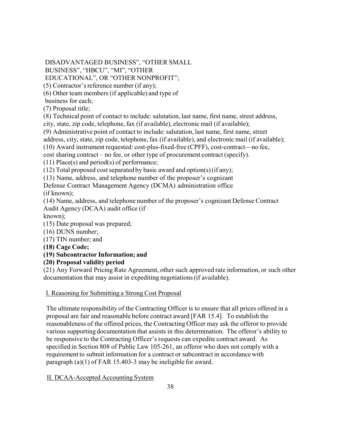DISADVANTAGED BUSINESS", "OTHER SMALL

BUSINESS", "HBCU", "MI", "OTHER

EDUCATIONAL", OR "OTHER NONPROFIT";

 $(5)$  Contractor's reference number (if any);

(6) Other team members (if applicable) and type of

business for each;

(7) Proposal title;

(8) Technical point of contact to include: salutation, last name, first name, street address,

city, state, zip code, telephone,fax (if available), electronic mail (if available);

(9) Administrative point of contact to include: salutation, last name, first name, street

address, city, state, zip code, telephone, fax (if available), and electronic mail (if available);

(10) Award instrument requested: cost-plus-fixed-free (CPFF), cost-contract—no fee,

cost sharing contract – no fee, or other type of procurement contract (specify).

(11) Place(s) and period(s) of performance;

(12) Total proposed cost separated by basic award and option(s) (if any);

(13) Name, address, and telephone number of the proposer's cognizant

Defense Contract Management Agency (DCMA) administration office (if known);

(14) Name, address, and telephone number of the proposer's cognizant Defense Contract Audit Agency (DCAA) audit office (if

known);

(15) Date proposal was prepared;

(16) DUNS number;

(17) TIN number; and

**(18) Cage Code;**

# **(19) Subcontractor Information; and**

**(20) Proposal validity period**

(21) Any Forward Pricing Rate Agreement, other such approved rate information, or such other documentation that may assist in expediting negotiations(if available).

I. Reasoning for Submitting a Strong Cost Proposal

The ultimate responsibility of the Contracting Officer is to ensure that all prices offered in a proposal are fair and reasonable before contract award [FAR 15.4]. To establish the reasonableness of the offered prices, the Contracting Officer may ask the offeror to provide various supporting documentation that assists in this determination. The offeror's ability to be responsive to the Contracting Officer's requests can expedite contract award. As specified in Section 808 of Public Law 105-261, an offeror who does not comply with a requirement to submit information for a contract or subcontract in accordance with paragraph (a)(1) of FAR 15.403-3 may be ineligible for award.

II. DCAA-Accepted Accounting System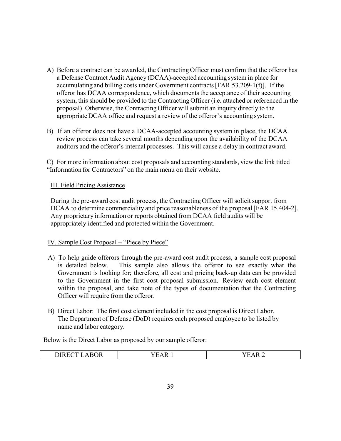- A) Before a contract can be awarded, the Contracting Officer must confirm that the offeror has a Defense Contract Audit Agency (DCAA)-accepted accounting system in place for accumulating and billing costs under Government contracts[FAR 53.209-1(f)]. If the offeror has DCAA correspondence, which documents the acceptance of their accounting system, this should be provided to the Contracting Officer (i.e. attached or referenced in the proposal). Otherwise, the Contracting Officer will submit an inquiry directly to the appropriate DCAA office and request a review of the offeror's accounting system.
- B) If an offeror does not have a DCAA-accepted accounting system in place, the DCAA review process can take several months depending upon the availability of the DCAA auditors and the offeror's internal processes. This will cause a delay in contract award.

C) For more information about cost proposals and accounting standards, view the link titled "Information for Contractors" on the main menu on their website.

# III. Field Pricing Assistance

During the pre-award cost audit process, the Contracting Officer will solicit support from DCAA to determine commerciality and price reasonableness of the proposal [FAR 15.404-2]. Any proprietary information or reports obtained from DCAA field audits will be appropriately identified and protected within the Government.

# IV. Sample Cost Proposal – "Piece by Piece"

- A) To help guide offerors through the pre-award cost audit process, a sample cost proposal is detailed below. This sample also allows the offeror to see exactly what the Government is looking for; therefore, all cost and pricing back-up data can be provided to the Government in the first cost proposal submission. Review each cost element within the proposal, and take note of the types of documentation that the Contracting Officer will require from the offeror.
- B) Direct Labor: The first cost element included in the cost proposal is Direct Labor. The Department of Defense (DoD) requires each proposed employee to be listed by name and labor category.

Below is the Direct Labor as proposed by our sample offeror:

| 3OR<br><b>DIREC</b> | к. | $\cdot$<br>ĸ |
|---------------------|----|--------------|
|                     |    |              |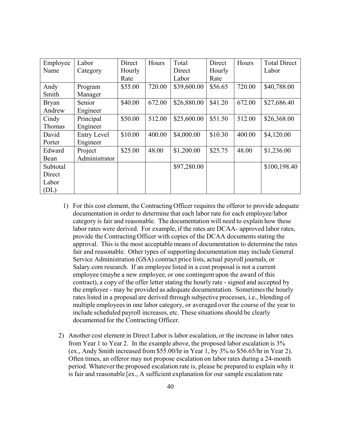| Employee     | Labor              | Direct  | Hours  | Total       | Direct  | Hours  | <b>Total Direct</b> |
|--------------|--------------------|---------|--------|-------------|---------|--------|---------------------|
| Name         | Category           | Hourly  |        | Direct      | Hourly  |        | Labor               |
|              |                    | Rate    |        | Labor       | Rate    |        |                     |
| Andy         | Program            | \$55.00 | 720.00 | \$39,600.00 | \$56.65 | 720.00 | \$40,788.00         |
| Smith        | Manager            |         |        |             |         |        |                     |
| <b>Bryan</b> | Senior             | \$40.00 | 672.00 | \$26,880.00 | \$41.20 | 672.00 | \$27,686.40         |
| Andrew       | Engineer           |         |        |             |         |        |                     |
| Cindy        | Principal          | \$50.00 | 512.00 | \$25,600.00 | \$51.50 | 512.00 | \$26,368.00         |
| Thomas       | Engineer           |         |        |             |         |        |                     |
| David        | <b>Entry Level</b> | \$10.00 | 400.00 | \$4,000.00  | \$10.30 | 400.00 | \$4,120.00          |
| Porter       | Engineer           |         |        |             |         |        |                     |
| Edward       | Project            | \$25.00 | 48.00  | \$1,200.00  | \$25.75 | 48.00  | \$1,236.00          |
| Bean         | Administrator      |         |        |             |         |        |                     |
| Subtotal     |                    |         |        | \$97,280.00 |         |        | \$100,198.40        |
| Direct       |                    |         |        |             |         |        |                     |
| Labor        |                    |         |        |             |         |        |                     |
| (DL)         |                    |         |        |             |         |        |                     |

- 1) For this cost element, the Contracting Officer requires the offeror to provide adequate documentation in order to determine that each labor rate for each employee/labor category is fair and reasonable. The documentation will need to explain how these labor rates were derived. For example, if the rates are DCAA- approved labor rates, provide the Contracting Officer with copies of the DCAA documents stating the approval. This is the most acceptable means of documentation to determine the rates fair and reasonable. Other types of supporting documentation may include General Service Administration (GSA) contract price lists, actual payroll journals, or Salary.com research. If an employee listed in a cost proposal is not a current employee (maybe a new employee, or one contingent upon the award of this contract), a copy of the offer letter stating the hourly rate - signed and accepted by the employee - may be provided as adequate documentation. Sometimes the hourly rates listed in a proposal are derived through subjective processes, i.e., blending of multiple employees in one labor category, or averaged over the course of the year to include scheduled payroll increases, etc. These situations should be clearly documented for the Contracting Officer.
- 2) Another cost element in Direct Labor is labor escalation, or the increase in labor rates from Year 1 to Year 2. In the example above, the proposed labor escalation is 3% (ex., Andy Smith increased from \$55.00/hr in Year 1, by 3% to \$56.65/hr in Year 2). Often times, an offeror may not propose escalation on labor rates during a 24-month period. Whatever the proposed escalation rate is, please be prepared to explain why it is fair and reasonable [ex., A sufficient explanation for our sample escalation rate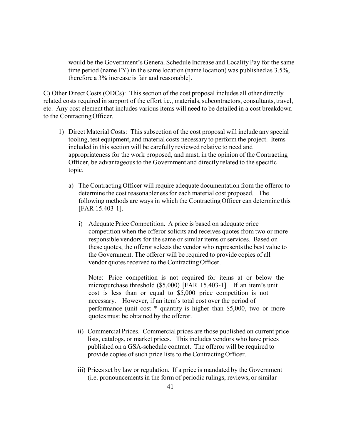would be the Government's General Schedule Increase and Locality Pay for the same time period (name FY) in the same location (name location) was published as 3.5%, therefore a 3% increase is fair and reasonable].

C) Other Direct Costs (ODCs): This section of the cost proposal includes all other directly related costs required in support of the effort *i.e.*, materials, subcontractors, consultants, travel, etc. Any cost element that includes various items will need to be detailed in a cost breakdown to the Contracting Officer.

- 1) Direct Material Costs: This subsection of the cost proposal will include any special tooling, test equipment, and material costs necessary to perform the project. Items included in this section will be carefully reviewed relative to need and appropriateness for the work proposed, and must, in the opinion of the Contracting Officer, be advantageous to the Government and directly related to the specific topic.
	- a) The Contracting Officer will require adequate documentation from the offeror to determine the cost reasonableness for each material cost proposed. The following methods are ways in which the Contracting Officer can determine this [FAR 15.403-1].
		- i) Adequate Price Competition. A price is based on adequate price competition when the offeror solicits and receives quotes from two or more responsible vendors for the same or similar items or services. Based on these quotes, the offeror selects the vendor who represents the best value to the Government. The offeror will be required to provide copies of all vendor quotes received to the Contracting Officer.

Note: Price competition is not required for items at or below the micropurchase threshold (\$5,000) [FAR 15.403-1]. If an item's unit cost is less than or equal to \$5,000 price competition is not necessary. However, if an item's total cost over the period of performance (unit cost \* quantity is higher than \$5,000, two or more quotes must be obtained by the offeror.

- ii) Commercial Prices. Commercial prices are those published on current price lists, catalogs, or market prices. This includes vendors who have prices published on a GSA-schedule contract. The offeror will be required to provide copies of such price lists to the Contracting Officer.
- iii) Prices set by law or regulation. If a price is mandated by the Government (i.e. pronouncementsin the form of periodic rulings, reviews, or similar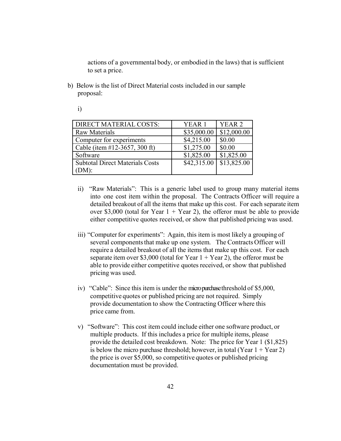actions of a governmental body, or embodied in the laws) that is sufficient to set a price.

b) Below is the list of Direct Material costs included in our sample proposal:

i)

| DIRECT MATERIAL COSTS:                 | YEAR 1      | <b>YEAR 2</b> |
|----------------------------------------|-------------|---------------|
| <b>Raw Materials</b>                   | \$35,000.00 | \$12,000.00   |
| Computer for experiments               | \$4,215.00  | \$0.00        |
| Cable (item #12-3657, 300 ft)          | \$1,275.00  | \$0.00        |
| Software                               | \$1,825.00  | \$1,825.00    |
| <b>Subtotal Direct Materials Costs</b> | \$42,315.00 | \$13,825.00   |
| (DM):                                  |             |               |

- ii) "Raw Materials": This is a generic label used to group many material items into one cost item within the proposal. The Contracts Officer will require a detailed breakout of all the items that make up this cost. For each separate item over \$3,000 (total for Year  $1 +$  Year 2), the offeror must be able to provide either competitive quotes received, or show that published pricing was used.
- iii) "Computer for experiments": Again, this item is most likely a grouping of several components that make up one system. The Contracts Officer will require a detailed breakout of all the items that make up this cost. For each separate item over \$3,000 (total for Year  $1 +$  Year 2), the offeror must be able to provide either competitive quotes received, or show that published pricing was used.
- iv) "Cable": Since this item is under the micro purchase threshold of \$5,000, competitive quotes or published pricing are not required. Simply provide documentation to show the Contracting Officer where this price came from.
- v) "Software": This cost item could include either one software product, or multiple products. If this includes a price for multiple items, please provide the detailed cost breakdown. Note: The price for Year 1 (\$1,825) is below the micro purchase threshold; however, in total (Year  $1 +$ Year 2) the price is over \$5,000, so competitive quotes or published pricing documentation must be provided.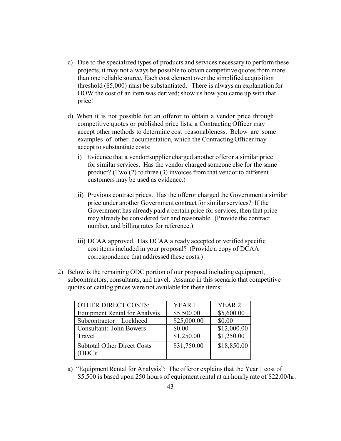- c) Due to the specialized types of products and services necessary to perform these projects, it may not always be possible to obtain competitive quotes from more than one reliable source. Each cost element over the simplified acquisition threshold (\$5,000) must be substantiated. There is always an explanation for HOW the cost of an item was derived; show us how you came up with that price!
- d) When it is not possible for an offeror to obtain a vendor price through competitive quotes or published price lists, a Contracting Officer may accept other methods to determine cost reasonableness. Below are some examples of other documentation, which the Contracting Officer may accept to substantiate costs:
	- i) Evidence that a vendor/supplier charged another offeror a similar price for similar services. Has the vendor charged someone else for the same product? (Two (2) to three (3) invoices from that vendor to different customers may be used as evidence.)
	- ii) Previous contract prices. Has the offeror charged the Government a similar price under another Government contract for similar services? If the Government has already paid a certain price for services, then that price may already be considered fair and reasonable. (Provide the contract number, and billing rates for reference.)
	- iii) DCAA approved. Has DCAA already accepted or verified specific cost items included in your proposal? (Provide a copy of DCAA correspondence that addressed these costs.)
- 2) Below is the remaining ODC portion of our proposal including equipment, subcontractors, consultants, and travel. Assume in this scenario that competitive quotes or catalog prices were not available for these items:

| <b>OTHER DIRECT COSTS:</b>                   | YEAR <sub>1</sub> | YEAR <sub>2</sub> |
|----------------------------------------------|-------------------|-------------------|
| <b>Equipment Rental for Analysis</b>         | \$5,500.00        | \$5,600.00        |
| Subcontractor - Lockheed                     | \$25,000.00       | \$0.00            |
| Consultant: John Bowers                      | \$0.00            | \$12,000.00       |
| Travel                                       | \$1,250.00        | \$1,250.00        |
| <b>Subtotal Other Direct Costs</b><br>(ODC): | \$31,750.00       | \$18,850.00       |

a) "Equipment Rental for Analysis": The offeror explains that the Year 1 cost of \$5,500 is based upon 250 hours of equipment rental at an hourly rate of \$22.00/hr.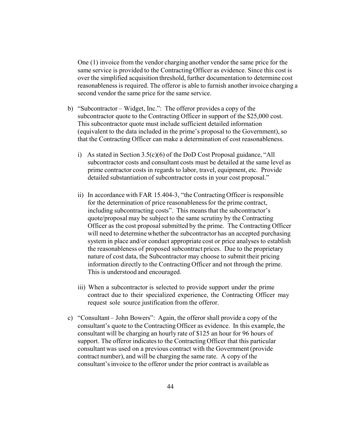One (1) invoice from the vendor charging another vendor the same price for the same service is provided to the Contracting Officer as evidence. Since this cost is over the simplified acquisition threshold, further documentation to determine cost reasonableness is required. The offeror is able to furnish another invoice charging a second vendor the same price for the same service.

- b) "Subcontractor Widget, Inc.": The offeror provides a copy of the subcontractor quote to the Contracting Officer in support of the \$25,000 cost. This subcontractor quote must include sufficient detailed information (equivalent to the data included in the prime's proposal to the Government), so that the Contracting Officer can make a determination of cost reasonableness.
	- i) As stated in Section 3.5(c)(6) of the DoD Cost Proposal guidance, "All subcontractor costs and consultant costs must be detailed at the same level as prime contractor costs in regards to labor, travel, equipment, etc. Provide detailed substantiation of subcontractor costs in your cost proposal."
	- ii) In accordance with FAR 15.404-3, "the Contracting Officer is responsible for the determination of price reasonableness for the prime contract, including subcontracting costs". This means that the subcontractor's quote/proposal may be subject to the same scrutiny by the Contracting Officer as the cost proposal submitted by the prime. The Contracting Officer will need to determine whether the subcontractor has an accepted purchasing system in place and/or conduct appropriate cost or price analyses to establish the reasonableness of proposed subcontract prices. Due to the proprietary nature of cost data, the Subcontractor may choose to submit their pricing information directly to the Contracting Officer and not through the prime. This is understood and encouraged.
	- iii) When a subcontractor is selected to provide support under the prime contract due to their specialized experience, the Contracting Officer may request sole source justification from the offeror.
- c) "Consultant John Bowers": Again, the offeror shall provide a copy of the consultant's quote to the Contracting Officer as evidence. In this example, the consultant will be charging an hourly rate of \$125 an hour for 96 hours of support. The offeror indicates to the Contracting Officer that this particular consultant was used on a previous contract with the Government (provide contract number), and will be charging the same rate. A copy of the consultant'sinvoice to the offeror under the prior contract is available as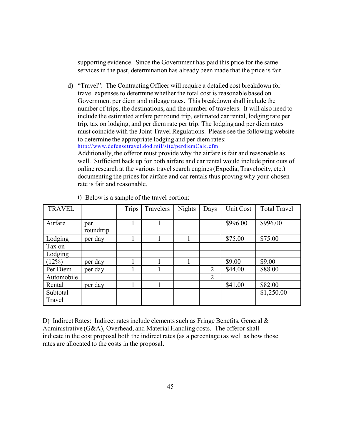supporting evidence. Since the Government has paid this price for the same services in the past, determination has already been made that the price is fair.

d) "Travel": The Contracting Officer will require a detailed cost breakdown for travel expenses to determine whether the total cost is reasonable based on Government per diem and mileage rates. This breakdown shall include the number of trips, the destinations, and the number of travelers. It will also need to include the estimated airfare per round trip, estimated car rental, lodging rate per trip, tax on lodging, and per diem rate per trip. The lodging and per diem rates must coincide with the Joint Travel Regulations. Please see the following website to determine the appropriate lodging and per diem rates: <http://www.defensetravel.dod.mil/site/perdiemCalc.cfm> Additionally, the offeror must provide why the airfare is fair and reasonable as well. Sufficient back up for both airfare and car rental would include print outs of online research at the various travel search engines(Expedia, Travelocity, etc.) documenting the prices for airfare and car rentals thus proving why your chosen

| <b>TRAVEL</b>      |                  | Trips | Travelers | <b>Nights</b> | Days | Unit Cost | <b>Total Travel</b> |
|--------------------|------------------|-------|-----------|---------------|------|-----------|---------------------|
| Airfare            | per<br>roundtrip |       |           |               |      | \$996.00  | \$996.00            |
| Lodging            | per day          |       |           |               |      | \$75.00   | \$75.00             |
| Tax on             |                  |       |           |               |      |           |                     |
| Lodging            |                  |       |           |               |      |           |                     |
| (12%)              | per day          |       |           |               |      | \$9.00    | \$9.00              |
| Per Diem           | per day          |       |           |               | 2    | \$44.00   | \$88.00             |
| Automobile         |                  |       |           |               | 2    |           |                     |
| Rental             | per day          |       |           |               |      | \$41.00   | \$82.00             |
| Subtotal<br>Travel |                  |       |           |               |      |           | \$1,250.00          |

i) Below is a sample of the travel portion:

rate is fair and reasonable.

D) Indirect Rates: Indirect rates include elements such as Fringe Benefits, General  $\&$ Administrative (G&A), Overhead, and Material Handling costs. The offeror shall indicate in the cost proposal both the indirect rates (as a percentage) as well as how those rates are allocated to the costs in the proposal.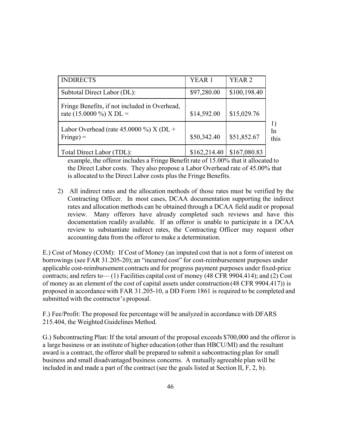| <b>INDIRECTS</b>                                                         | YEAR <sub>1</sub> | YEAR <sub>2</sub> |                       |
|--------------------------------------------------------------------------|-------------------|-------------------|-----------------------|
| Subtotal Direct Labor (DL):                                              | \$97,280.00       | \$100,198.40      |                       |
| Fringe Benefits, if not included in Overhead,<br>rate (15.0000 %) X DL = | \$14,592.00       | \$15,029.76       |                       |
| Labor Overhead (rate $45.0000\%$ ) X (DL +<br>$\text{Fringe}$ ) =        | \$50,342.40       | \$51,852.67       | $\perp$<br>In<br>this |
| Total Direct Labor (TDL):                                                | \$162,214.40      | \$167,080.83      |                       |

example, the offeror includes a Fringe Benefit rate of 15.00% that it allocated to the Direct Labor costs. They also propose a Labor Overhead rate of 45.00% that is allocated to the Direct Labor costs plus the Fringe Benefits.

2) All indirect rates and the allocation methods of those rates must be verified by the Contracting Officer. In most cases, DCAA documentation supporting the indirect rates and allocation methods can be obtained through a DCAA field audit or proposal review. Many offerors have already completed such reviews and have this documentation readily available. If an offeror is unable to participate in a DCAA review to substantiate indirect rates, the Contracting Officer may request other accounting data from the offeror to make a determination.

E.) Cost of Money (COM): If Cost of Money (an imputed cost that is not a form of interest on borrowings (see FAR 31.205-20); an "incurred cost" for cost-reimbursement purposes under applicable cost-reimbursement contracts and for progress payment purposes under fixed-price contracts; and refers to— (1) Facilities capital cost of money (48 CFR 9904.414); and (2) Cost of money as an element of the cost of capital assets under construction (48 CFR 9904.417)) is proposed in accordance with FAR 31.205-10, a DD Form 1861 is required to be completed and submitted with the contractor's proposal.

F.) Fee/Profit: The proposed fee percentage will be analyzed in accordance with DFARS 215.404, the Weighted Guidelines Method.

G.) Subcontracting Plan: If the total amount of the proposal exceeds \$700,000 and the offeror is a large business or an institute of higher education (other than HBCU/MI) and the resultant award is a contract, the offeror shall be prepared to submit a subcontracting plan for small business and small disadvantaged business concerns. A mutually agreeable plan will be included in and made a part of the contract (see the goals listed at Section II, F, 2, b).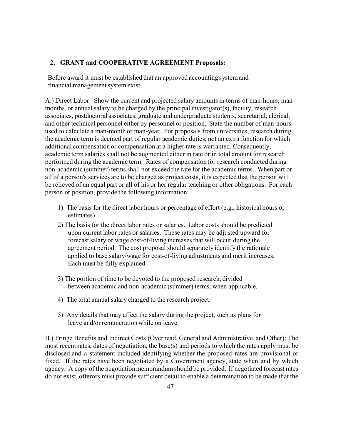## <span id="page-46-0"></span>**2. GRANT and COOPERATIVE AGREEMENT Proposals:**

Before award it must be established that an approved accounting system and financial managementsystem exist.

A.) Direct Labor: Show the current and projected salary amounts in terms of man-hours, manmonths, or annual salary to be charged by the principal investigator(s), faculty, research associates, postdoctoral associates, graduate and undergraduate students, secretarial, clerical, and other technical personnel either by personnel or position. State the number of man-hours used to calculate a man-month or man-year. For proposals from universities, research during the academic term is deemed part of regular academic duties, not an extra function for which additional compensation or compensation at a higher rate is warranted. Consequently, academic term salaries shall not be augmented either in rate or in total amount for research performed during the academic term. Rates of compensation for research conducted during non-academic (summer) terms shall not exceed the rate for the academic terms. When part or all of a person's services are to be charged as project costs, it is expected that the person will be relieved of an equal part or all of his or her regular teaching or other obligations. For each person or position, provide the following information:

- 1) The basis for the direct labor hours or percentage of effort (e.g., historical hours or estimates).
- 2) The basis for the direct labor rates or salaries. Labor costs should be predicted upon current labor rates or salaries. These rates may be adjusted upward for forecast salary or wage cost-of-living increasesthat will occur during the agreement period. The cost proposal should separately identify the rationale applied to base salary/wage for cost-of-living adjustments and merit increases. Each must be fully explained.
- 3) The portion of time to be devoted to the proposed research, divided between academic and non-academic (summer) terms, when applicable.
- 4) The total annual salary charged to the research project.
- 5) Any details that may affect the salary during the project, such as plans for leave and/or remuneration while on leave.

B.) Fringe Benefits and Indirect Costs (Overhead, General and Administrative, and Other): The most recent rates, dates of negotiation, the base(s) and periods to which the rates apply must be disclosed and a statement included identifying whether the proposed rates are provisional or fixed. If the rates have been negotiated by a Government agency, state when and by which agency. A copy of the negotiation memorandum should be provided. If negotiated forecast rates do not exist, offerors must provide sufficient detail to enable a determination to be made that the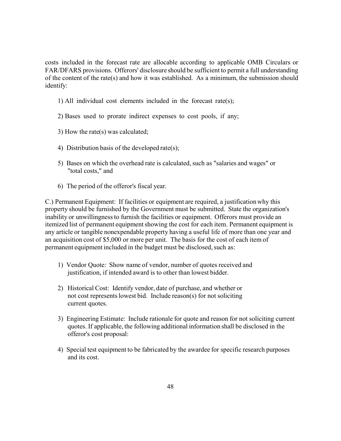costs included in the forecast rate are allocable according to applicable OMB Circulars or FAR/DFARS provisions. Offerors' disclosure should be sufficient to permit a full understanding of the content of the rate(s) and how it was established. As a minimum, the submission should identify:

- 1) All individual cost elements included in the forecast rate(s);
- 2) Bases used to prorate indirect expenses to cost pools, if any;
- 3) How the rate(s) was calculated;
- 4) Distribution basis of the developed rate(s);
- 5) Bases on which the overhead rate is calculated, such as "salaries and wages" or "total costs," and
- 6) The period of the offeror's fiscal year.

C.) Permanent Equipment: If facilities or equipment are required, a justification why this property should be furnished by the Government must be submitted. State the organization's inability or unwillingness to furnish the facilities or equipment. Offerors must provide an itemized list of permanent equipment showing the cost for each item. Permanent equipment is any article or tangible nonexpendable property having a useful life of more than one year and an acquisition cost of \$5,000 or more per unit. The basis for the cost of each item of permanent equipment included in the budget must be disclosed, such as:

- 1) Vendor Quote: Show name of vendor, number of quotes received and justification, if intended award is to other than lowest bidder.
- 2) Historical Cost: Identify vendor, date of purchase, and whether or not cost represents lowest bid. Include reason(s) for not soliciting current quotes.
- 3) Engineering Estimate: Include rationale for quote and reason for not soliciting current quotes. If applicable, the following additional information shall be disclosed in the offeror's cost proposal:
- 4) Special test equipment to be fabricated by the awardee for specific research purposes and its cost.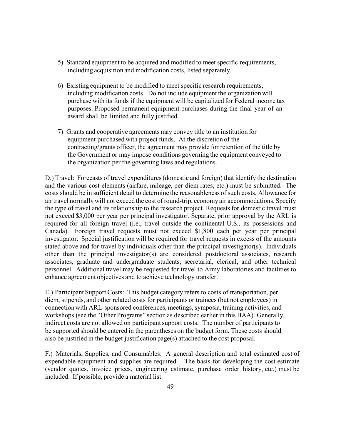- 5) Standard equipment to be acquired and modified to meet specific requirements, including acquisition and modification costs, listed separately.
- 6) Existing equipment to be modified to meet specific research requirements, including modification costs. Do not include equipment the organization will purchase with its funds if the equipment will be capitalized for Federal income tax purposes. Proposed permanent equipment purchases during the final year of an award shall be limited and fully justified.
- 7) Grants and cooperative agreements may convey title to an institution for equipment purchased with project funds. At the discretion of the contracting/grants officer, the agreement may provide for retention of the title by the Government or may impose conditions governing the equipment conveyed to the organization per the governing laws and regulations.

D.) Travel: Forecasts of travel expenditures(domestic and foreign) that identify the destination and the various cost elements (airfare, mileage, per diem rates, etc.) must be submitted. The costs should be in sufficient detail to determine the reasonableness of such costs. Allowance for air travel normally will not exceed the cost of round-trip, economy air accommodations. Specify the type of travel and its relationship to the research project. Requests for domestic travel must not exceed \$3,000 per year per principal investigator. Separate, prior approval by the ARL is required for all foreign travel (i.e., travel outside the continental U.S., its possessions and Canada). Foreign travel requests must not exceed \$1,800 each per year per principal investigator. Special justification will be required for travel requests in excess of the amounts stated above and for travel by individuals other than the principal investigator(s). Individuals other than the principal investigator(s) are considered postdoctoral associates, research associates, graduate and undergraduate students, secretarial, clerical, and other technical personnel. Additional travel may be requested for travel to Army laboratories and facilities to enhance agreement objectives and to achieve technology transfer.

E.) Participant Support Costs: This budget category refers to costs of transportation, per diem, stipends, and other related costs for participants or trainees(but not employees) in connection with ARL-sponsored conferences, meetings,symposia, training activities, and workshops (see the "Other Programs" section as described earlier in this BAA). Generally, indirect costs are not allowed on participant support costs. The number of participants to be supported should be entered in the parentheses on the budget form. These costs should also be justified in the budget justification page(s) attached to the cost proposal.

F.) Materials, Supplies, and Consumables: A general description and total estimated cost of expendable equipment and supplies are required. The basis for developing the cost estimate (vendor quotes, invoice prices, engineering estimate, purchase order history, etc.) must be included. If possible, provide a material list.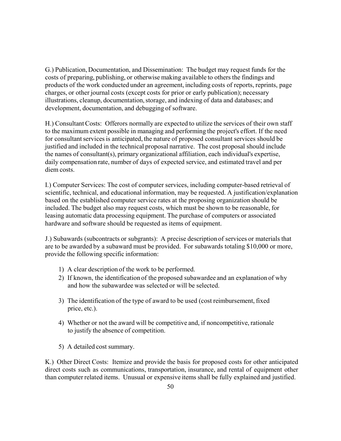G.) Publication, Documentation, and Dissemination: The budget may request funds for the costs of preparing, publishing, or otherwise making available to others the findings and products of the work conducted under an agreement, including costs of reports, reprints, page charges, or other journal costs (except costs for prior or early publication); necessary illustrations, cleanup, documentation,storage, and indexing of data and databases; and development, documentation, and debugging of software.

H.) Consultant Costs: Offerors normally are expected to utilize the services of their own staff to the maximum extent possible in managing and performing the project's effort. If the need for consultant services is anticipated, the nature of proposed consultant services should be justified and included in the technical proposal narrative. The cost proposal should include the names of consultant(s), primary organizational affiliation, each individual's expertise, daily compensation rate, number of days of expected service, and estimated travel and per diem costs.

I.) Computer Services: The cost of computer services, including computer-based retrieval of scientific, technical, and educational information, may be requested. A justification/explanation based on the established computer service rates at the proposing organization should be included. The budget also may request costs, which must be shown to be reasonable, for leasing automatic data processing equipment. The purchase of computers or associated hardware and software should be requested as items of equipment.

J.) Subawards (subcontracts or subgrants): A precise description of services or materials that are to be awarded by a subaward must be provided. For subawards totaling \$10,000 or more, provide the following specific information:

- 1) A clear description of the work to be performed.
- 2) If known, the identification of the proposed subawardee and an explanation of why and how the subawardee was selected or will be selected.
- 3) The identification of the type of award to be used (cost reimbursement, fixed price, etc.).
- 4) Whether or not the award will be competitive and, if noncompetitive, rationale to justify the absence of competition.
- 5) A detailed cost summary.

K.) Other Direct Costs: Itemize and provide the basis for proposed costs for other anticipated direct costs such as communications, transportation, insurance, and rental of equipment other than computer related items. Unusual or expensive items shall be fully explained and justified.